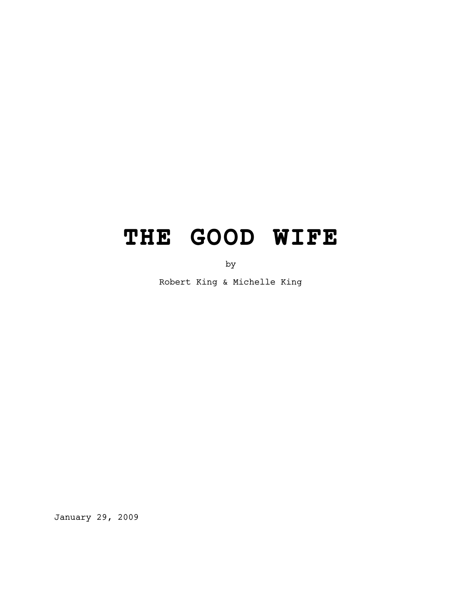# **THE GOOD WIFE**

by

Robert King & Michelle King

January 29, 2009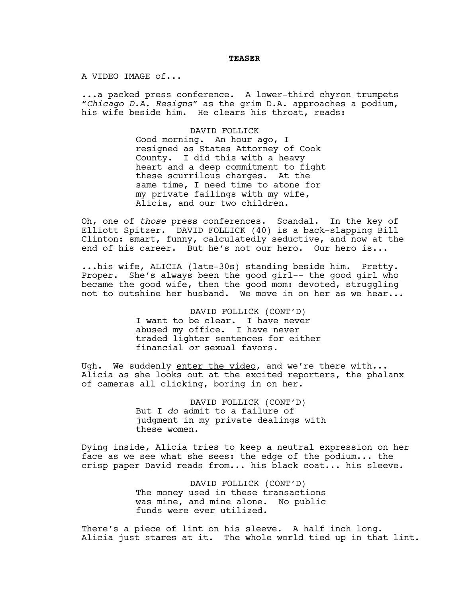#### **TEASER**

A VIDEO IMAGE of...

...a packed press conference. A lower-third chyron trumpets "*Chicago D.A. Resigns"* as the grim D.A. approaches a podium, his wife beside him. He clears his throat, reads:

DAVID FOLLICK

Good morning. An hour ago, I resigned as States Attorney of Cook County. I did this with a heavy heart and a deep commitment to fight these scurrilous charges. At the same time, I need time to atone for my private failings with my wife, Alicia, and our two children.

Oh, one of *those* press conferences. Scandal. In the key of Elliott Spitzer. DAVID FOLLICK (40) is a back-slapping Bill Clinton: smart, funny, calculatedly seductive, and now at the end of his career. But he's not our hero. Our hero is...

...his wife, ALICIA (late-30s) standing beside him. Pretty. Proper. She's always been the good girl-- the good girl who became the good wife, then the good mom: devoted, struggling not to outshine her husband. We move in on her as we hear...

> DAVID FOLLICK (CONT'D) I want to be clear. I have never abused my office. I have never traded lighter sentences for either financial *or* sexual favors.

Ugh. We suddenly enter the video, and we're there with... Alicia as she looks out at the excited reporters, the phalanx of cameras all clicking, boring in on her.

> DAVID FOLLICK (CONT'D) But I *do* admit to a failure of judgment in my private dealings with these women.

Dying inside, Alicia tries to keep a neutral expression on her face as we see what she sees: the edge of the podium... the crisp paper David reads from... his black coat... his sleeve.

> DAVID FOLLICK (CONT'D) The money used in these transactions was mine, and mine alone. No public funds were ever utilized.

There's a piece of lint on his sleeve. A half inch long. Alicia just stares at it. The whole world tied up in that lint.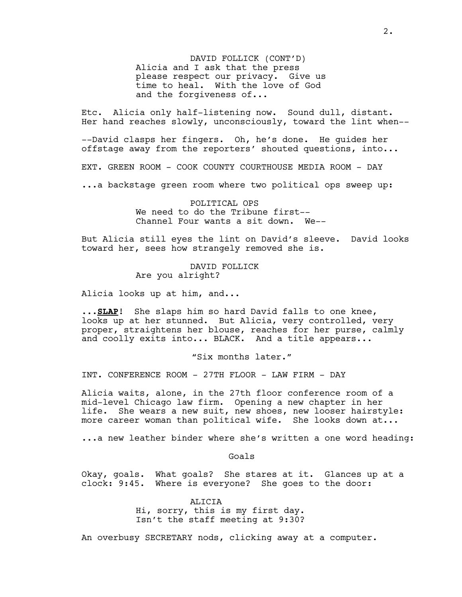DAVID FOLLICK (CONT'D) Alicia and I ask that the press please respect our privacy. Give us time to heal. With the love of God and the forgiveness of...

Etc. Alicia only half-listening now. Sound dull, distant. Her hand reaches slowly, unconsciously, toward the lint when--

--David clasps her fingers. Oh, he's done. He guides her offstage away from the reporters' shouted questions, into...

EXT. GREEN ROOM - COOK COUNTY COURTHOUSE MEDIA ROOM - DAY

...a backstage green room where two political ops sweep up:

POLITICAL OPS We need to do the Tribune first-- Channel Four wants a sit down. We--

But Alicia still eyes the lint on David's sleeve. David looks toward her, sees how strangely removed she is.

> DAVID FOLLICK Are you alright?

Alicia looks up at him, and...

...**SLAP**! She slaps him so hard David falls to one knee, looks up at her stunned. But Alicia, very controlled, very proper, straightens her blouse, reaches for her purse, calmly and coolly exits into... BLACK. And a title appears...

"Six months later."

INT. CONFERENCE ROOM - 27TH FLOOR - LAW FIRM - DAY

Alicia waits, alone, in the 27th floor conference room of a mid-level Chicago law firm. Opening a new chapter in her life. She wears a new suit, new shoes, new looser hairstyle: more career woman than political wife. She looks down at...

...a new leather binder where she's written a one word heading:

Goals

Okay, goals. What goals? She stares at it. Glances up at a clock: 9:45. Where is everyone? She goes to the door:

> ALICIA Hi, sorry, this is my first day. Isn't the staff meeting at 9:30?

An overbusy SECRETARY nods, clicking away at a computer.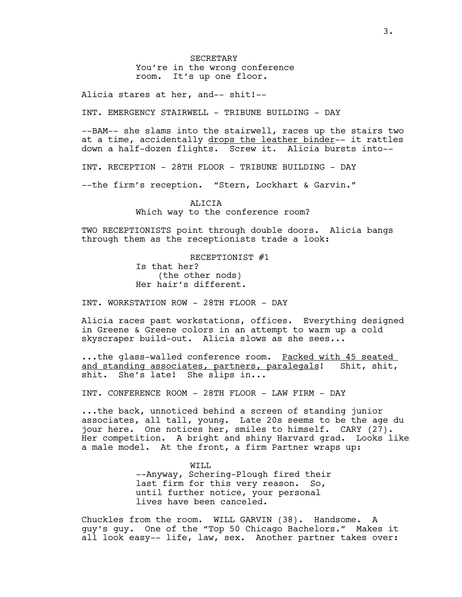**SECRETARY** You're in the wrong conference room. It's up one floor.

Alicia stares at her, and-- shit!--

INT. EMERGENCY STAIRWELL - TRIBUNE BUILDING - DAY

--BAM-- she slams into the stairwell, races up the stairs two at a time, accidentally drops the leather binder-- it rattles down a half-dozen flights. Screw it. Alicia bursts into--

INT. RECEPTION - 28TH FLOOR - TRIBUNE BUILDING - DAY

--the firm's reception. "Stern, Lockhart & Garvin."

ALICIA Which way to the conference room?

TWO RECEPTIONISTS point through double doors. Alicia bangs through them as the receptionists trade a look:

> RECEPTIONIST #1 Is that her? (the other nods) Her hair's different.

INT. WORKSTATION ROW - 28TH FLOOR - DAY

Alicia races past workstations, offices. Everything designed in Greene & Greene colors in an attempt to warm up a cold skyscraper build-out. Alicia slows as she sees...

...the glass-walled conference room. Packed with 45 seated and standing associates, partners, paralegals! Shit, shit, shit. She's late! She slips in...

INT. CONFERENCE ROOM - 28TH FLOOR - LAW FIRM - DAY

...the back, unnoticed behind a screen of standing junior associates, all tall, young. Late 20s seems to be the age du jour here. One notices her, smiles to himself. CARY (27). Her competition. A bright and shiny Harvard grad. Looks like a male model. At the front, a firm Partner wraps up:

> WILL --Anyway, Schering-Plough fired their last firm for this very reason. So, until further notice, your personal lives have been canceled.

Chuckles from the room. WILL GARVIN (38). Handsome. A guy's guy. One of the "Top 50 Chicago Bachelors." Makes it all look easy-- life, law, sex. Another partner takes over: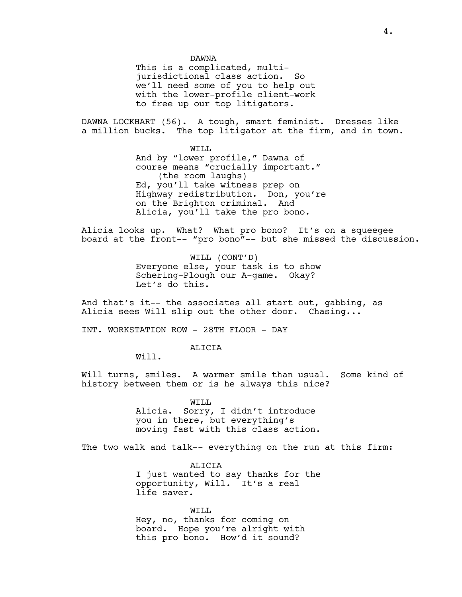This is a complicated, multijurisdictional class action. So we'll need some of you to help out with the lower-profile client-work to free up our top litigators.

DAWNA LOCKHART (56). A tough, smart feminist. Dresses like a million bucks. The top litigator at the firm, and in town.

WILL

And by "lower profile," Dawna of course means "crucially important." (the room laughs) Ed, you'll take witness prep on Highway redistribution. Don, you're on the Brighton criminal. And Alicia, you'll take the pro bono.

Alicia looks up. What? What pro bono? It's on a squeegee board at the front-- "pro bono"-- but she missed the discussion.

> WILL (CONT'D) Everyone else, your task is to show Schering-Plough our A-game. Okay? Let's do this.

And that's it-- the associates all start out, gabbing, as Alicia sees Will slip out the other door. Chasing...

INT. WORKSTATION ROW - 28TH FLOOR - DAY

ALICIA

Will.

Will turns, smiles. A warmer smile than usual. Some kind of history between them or is he always this nice?

> WILL Alicia. Sorry, I didn't introduce you in there, but everything's moving fast with this class action.

The two walk and talk-- everything on the run at this firm:

ALICIA I just wanted to say thanks for the opportunity, Will. It's a real life saver.

WILL Hey, no, thanks for coming on board. Hope you're alright with this pro bono. How'd it sound?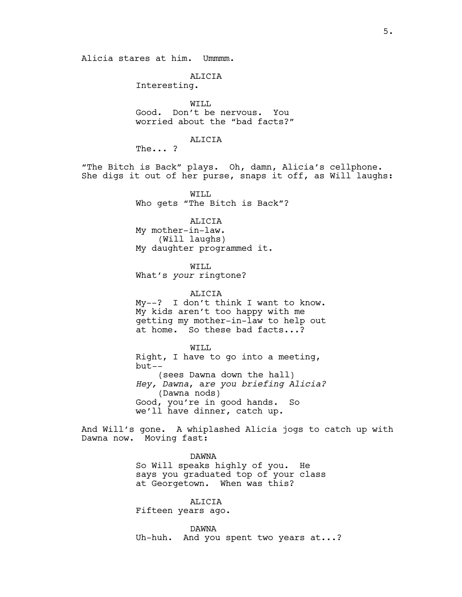Alicia stares at him. Ummmm.

#### ALICIA

Interesting.

WILL Good. Don't be nervous. You worried about the "bad facts?"

#### ALICIA

The... ?

"The Bitch is Back" plays. Oh, damn, Alicia's cellphone. She digs it out of her purse, snaps it off, as Will laughs:

> WILL Who gets "The Bitch is Back"?

> > ALICIA

My mother-in-law. (Will laughs) My daughter programmed it.

WILL What's *your* ringtone?

ALICIA My--? I don't think I want to know. My kids aren't too happy with me getting my mother-in-law to help out at home. So these bad facts...?

#### WILL

Right, I have to go into a meeting, but*--*  (sees Dawna down the hall) *Hey, Dawna*, a*re you briefing Alicia?* (Dawna nods) Good, you're in good hands. So we'll have dinner, catch up.

And Will's gone. A whiplashed Alicia jogs to catch up with Dawna now. Moving fast:

DAWNA

So Will speaks highly of you. He says you graduated top of your class at Georgetown. When was this?

ALICIA

Fifteen years ago.

DAWNA Uh-huh. And you spent two years at...?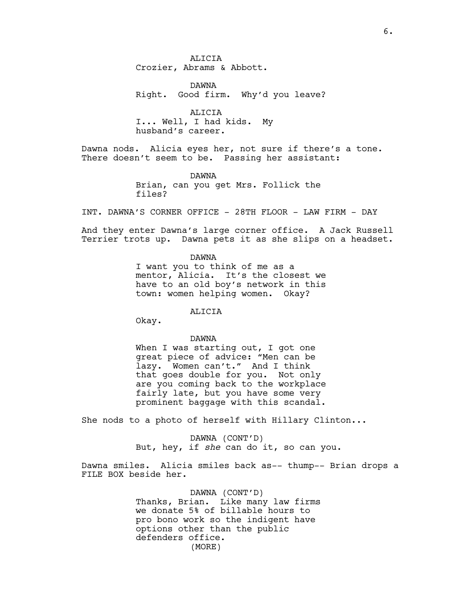ALICIA Crozier, Abrams & Abbott.

DAWNA Right. Good firm. Why'd you leave?

ALICIA I... Well, I had kids. My husband's career.

Dawna nods. Alicia eyes her, not sure if there's a tone. There doesn't seem to be. Passing her assistant:

> DAWNA Brian, can you get Mrs. Follick the files?

INT. DAWNA'S CORNER OFFICE - 28TH FLOOR - LAW FIRM - DAY

And they enter Dawna's large corner office. A Jack Russell Terrier trots up. Dawna pets it as she slips on a headset.

DAWNA

I want you to think of me as a mentor, Alicia. It's the closest we have to an old boy's network in this town: women helping women. Okay?

ALICIA

Okay.

DAWNA

When I was starting out, I got one great piece of advice: "Men can be lazy. Women can't." And I think that goes double for you. Not only are you coming back to the workplace fairly late, but you have some very prominent baggage with this scandal.

She nods to a photo of herself with Hillary Clinton...

DAWNA (CONT'D) But, hey, if *she* can do it, so can you.

Dawna smiles. Alicia smiles back as-- thump-- Brian drops a FILE BOX beside her.

> DAWNA (CONT'D) Thanks, Brian. Like many law firms we donate 5% of billable hours to pro bono work so the indigent have options other than the public defenders office. (MORE)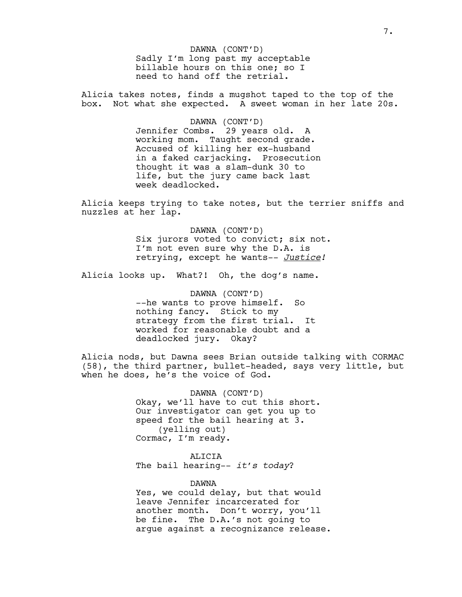Sadly I'm long past my acceptable billable hours on this one; so I need to hand off the retrial. DAWNA (CONT'D)

Alicia takes notes, finds a mugshot taped to the top of the box. Not what she expected. A sweet woman in her late 20s.

#### DAWNA (CONT'D)

Jennifer Combs. 29 years old. A working mom. Taught second grade. Accused of killing her ex-husband in a faked carjacking. Prosecution thought it was a slam-dunk 30 to life, but the jury came back last week deadlocked.

Alicia keeps trying to take notes, but the terrier sniffs and nuzzles at her lap.

> DAWNA (CONT'D) Six jurors voted to convict; six not. I'm not even sure why the D.A. is retrying, except he wants-- *Justice!*

Alicia looks up. What?! Oh, the dog's name.

DAWNA (CONT'D) --he wants to prove himself. So nothing fancy. Stick to my strategy from the first trial. It worked for reasonable doubt and a deadlocked jury. Okay?

Alicia nods, but Dawna sees Brian outside talking with CORMAC (58), the third partner, bullet-headed, says very little, but when he does, he's the voice of God.

> DAWNA (CONT'D) Okay, we'll have to cut this short. Our investigator can get you up to speed for the bail hearing at 3. (yelling out) Cormac, I'm ready.

ALICIA The bail hearing-- *it's today*?

DAWNA

Yes, we could delay, but that would leave Jennifer incarcerated for another month. Don't worry, you'll be fine. The D.A.'s not going to argue against a recognizance release.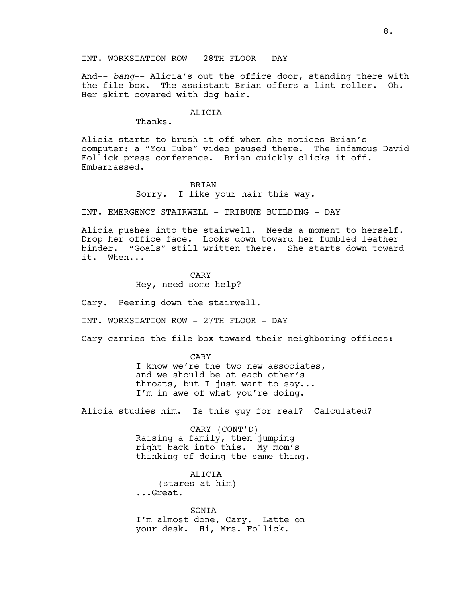And-- *bang*-- Alicia's out the office door, standing there with the file box. The assistant Brian offers a lint roller. Oh. Her skirt covered with dog hair.

#### ALICIA

Thanks.

Alicia starts to brush it off when she notices Brian's computer: a "You Tube" video paused there. The infamous David Follick press conference. Brian quickly clicks it off. Embarrassed.

#### BRIAN

Sorry. I like your hair this way.

INT. EMERGENCY STAIRWELL - TRIBUNE BUILDING - DAY

Alicia pushes into the stairwell. Needs a moment to herself. Drop her office face. Looks down toward her fumbled leather binder. "Goals" still written there. She starts down toward it. When...

> CARY Hey, need some help?

Cary. Peering down the stairwell.

INT. WORKSTATION ROW - 27TH FLOOR - DAY

Cary carries the file box toward their neighboring offices:

CARY I know we're the two new associates, and we should be at each other's throats, but I just want to say... I'm in awe of what you're doing.

Alicia studies him. Is this guy for real? Calculated?

CARY (CONT'D) Raising a family, then jumping right back into this. My mom's thinking of doing the same thing.

ALICIA (stares at him) ...Great.

SONIA I'm almost done, Cary. Latte on your desk. Hi, Mrs. Follick.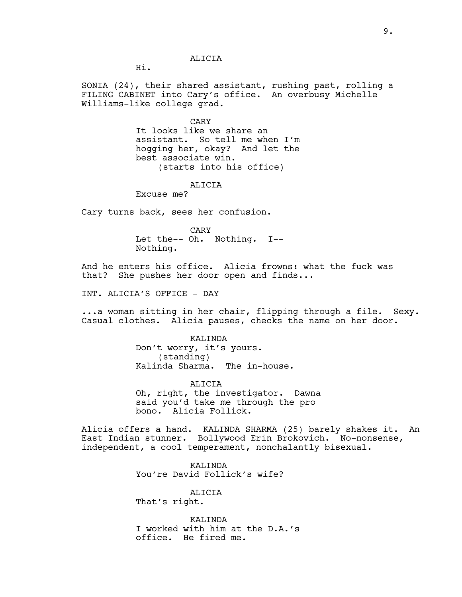#### ALICIA

Hi.

SONIA (24), their shared assistant, rushing past, rolling a FILING CABINET into Cary's office. An overbusy Michelle Williams-like college grad.

CARY

It looks like we share an assistant. So tell me when I'm hogging her, okay? And let the best associate win. (starts into his office)

ALICIA

Excuse me?

Cary turns back, sees her confusion.

CARY Let the-- Oh. Nothing. I-- Nothing.

And he enters his office. Alicia frowns: what the fuck was that? She pushes her door open and finds...

INT. ALICIA'S OFFICE - DAY

...a woman sitting in her chair, flipping through a file. Sexy. Casual clothes. Alicia pauses, checks the name on her door.

> KALINDA Don't worry, it's yours. (standing) Kalinda Sharma. The in-house.

ALICIA Oh, right, the investigator. Dawna said you'd take me through the pro bono. Alicia Follick.

Alicia offers a hand. KALINDA SHARMA (25) barely shakes it. An East Indian stunner. Bollywood Erin Brokovich. No-nonsense, independent, a cool temperament, nonchalantly bisexual.

> KALINDA You're David Follick's wife?

> > ALICIA

That's right.

KALINDA I worked with him at the D.A.'s office. He fired me.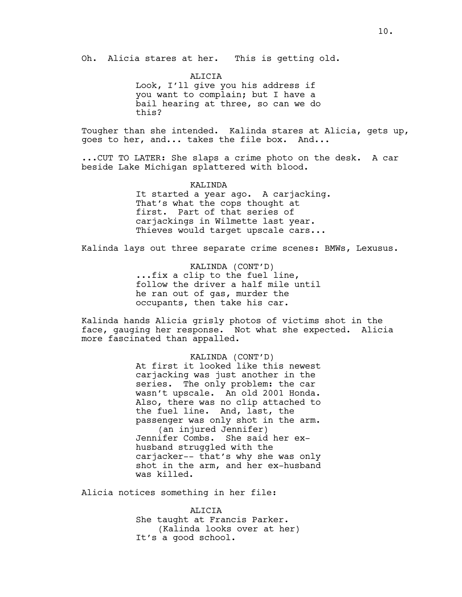Oh. Alicia stares at her. This is getting old.

**ALICIA** Look, I'll give you his address if you want to complain; but I have a bail hearing at three, so can we do this?

Tougher than she intended. Kalinda stares at Alicia, gets up, goes to her, and... takes the file box. And...

...CUT TO LATER: She slaps a crime photo on the desk. A car beside Lake Michigan splattered with blood.

KALINDA

It started a year ago. A carjacking. That's what the cops thought at first. Part of that series of carjackings in Wilmette last year. Thieves would target upscale cars...

Kalinda lays out three separate crime scenes: BMWs, Lexusus.

KALINDA (CONT'D) ...fix a clip to the fuel line, follow the driver a half mile until he ran out of gas, murder the occupants, then take his car.

Kalinda hands Alicia grisly photos of victims shot in the face, gauging her response. Not what she expected. Alicia more fascinated than appalled.

> KALINDA (CONT'D) At first it looked like this newest carjacking was just another in the series. The only problem: the car wasn't upscale. An old 2001 Honda. Also, there was no clip attached to the fuel line. And, last, the passenger was only shot in the arm. (an injured Jennifer) Jennifer Combs. She said her exhusband struggled with the carjacker-- that's why she was only shot in the arm, and her ex-husband was killed.

Alicia notices something in her file:

ALICIA She taught at Francis Parker. (Kalinda looks over at her) It's a good school.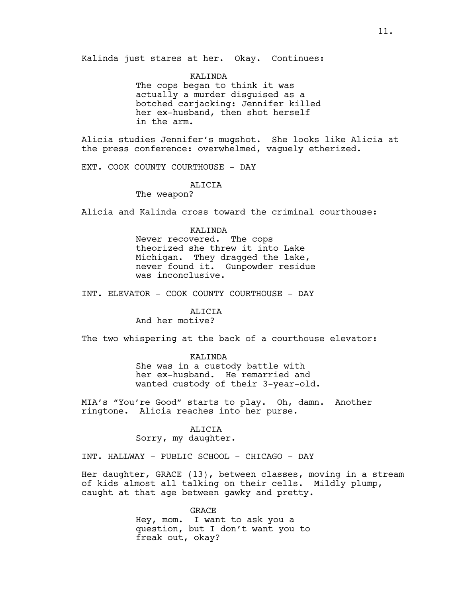Kalinda just stares at her. Okay. Continues:

KALINDA The cops began to think it was actually a murder disguised as a botched carjacking: Jennifer killed her ex-husband, then shot herself in the arm.

Alicia studies Jennifer's mugshot. She looks like Alicia at the press conference: overwhelmed, vaguely etherized.

EXT. COOK COUNTY COURTHOUSE - DAY

ALICIA

The weapon?

Alicia and Kalinda cross toward the criminal courthouse:

#### KALINDA

Never recovered. The cops theorized she threw it into Lake Michigan. They dragged the lake, never found it. Gunpowder residue was inconclusive.

INT. ELEVATOR - COOK COUNTY COURTHOUSE - DAY

#### ALICIA

And her motive?

The two whispering at the back of a courthouse elevator:

KALINDA She was in a custody battle with her ex-husband. He remarried and wanted custody of their 3-year-old.

MIA's "You're Good" starts to play. Oh, damn. Another ringtone. Alicia reaches into her purse.

#### ALICIA

Sorry, my daughter.

INT. HALLWAY - PUBLIC SCHOOL - CHICAGO - DAY

Her daughter, GRACE (13), between classes, moving in a stream of kids almost all talking on their cells. Mildly plump, caught at that age between gawky and pretty.

> GRACE Hey, mom. I want to ask you a question, but I don't want you to freak out, okay?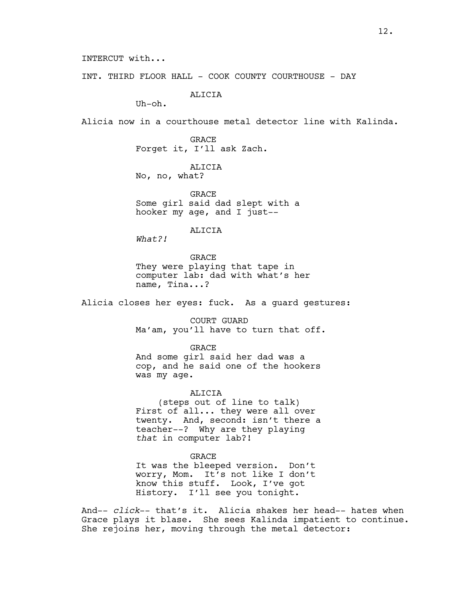INTERCUT with...

INT. THIRD FLOOR HALL - COOK COUNTY COURTHOUSE - DAY

ALICIA

Uh-oh.

Alicia now in a courthouse metal detector line with Kalinda.

**GRACE** Forget it, I'll ask Zach.

ALICIA No, no, what?

**GRACE** Some girl said dad slept with a hooker my age, and I just--

ALICIA

*What?!* 

GRACE They were playing that tape in computer lab: dad with what's her name, Tina...?

Alicia closes her eyes: fuck. As a guard gestures:

COURT GUARD Ma'am, you'll have to turn that off.

GRACE

And some girl said her dad was a cop, and he said one of the hookers was my age.

ALICIA (steps out of line to talk) First of all... they were all over twenty. And, second: isn't there a teacher--? Why are they playing *that* in computer lab?!

GRACE It was the bleeped version. Don't worry, Mom. It's not like I don't know this stuff. Look, I've got History. I'll see you tonight.

And-- *click*-- that's it. Alicia shakes her head-- hates when Grace plays it blase. She sees Kalinda impatient to continue. She rejoins her, moving through the metal detector: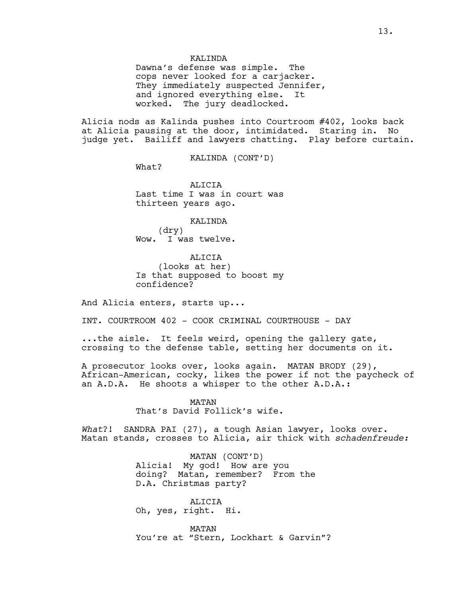#### KALINDA

Dawna's defense was simple. The cops never looked for a carjacker. They immediately suspected Jennifer, and ignored everything else. It worked. The jury deadlocked.

Alicia nods as Kalinda pushes into Courtroom #402, looks back at Alicia pausing at the door, intimidated. Staring in. No judge yet. Bailiff and lawyers chatting. Play before curtain.

KALINDA (CONT'D)

What?

**ALICIA** Last time I was in court was thirteen years ago.

#### KALINDA

(dry) Wow. I was twelve.

ALICIA (looks at her) Is that supposed to boost my confidence?

And Alicia enters, starts up...

INT. COURTROOM 402 - COOK CRIMINAL COURTHOUSE - DAY

...the aisle. It feels weird, opening the gallery gate, crossing to the defense table, setting her documents on it.

A prosecutor looks over, looks again. MATAN BRODY (29), African-American, cocky, likes the power if not the paycheck of an A.D.A. He shoots a whisper to the other A.D.A.:

> MATAN That's David Follick's wife.

*What*?! SANDRA PAI (27), a tough Asian lawyer, looks over. Matan stands, crosses to Alicia, air thick with *schadenfreude:*

> MATAN (CONT'D) Alicia! My god! How are you doing? Matan, remember? From the D.A. Christmas party?

ALICIA Oh, yes, right. Hi.

MATAN You're at "Stern, Lockhart & Garvin"?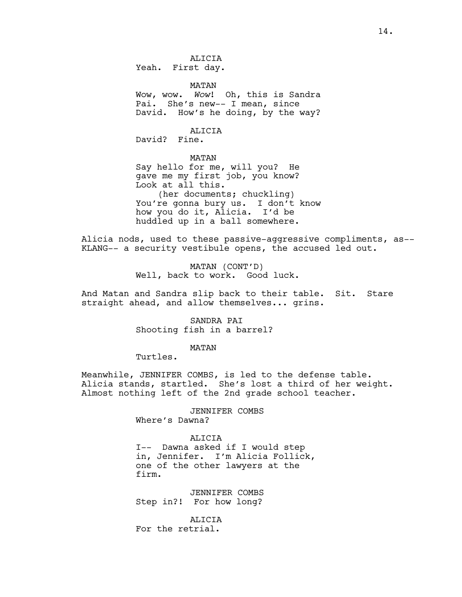14.

ALICIA Yeah. First day.

MATAN

Wow, wow. *Wow*! Oh, this is Sandra Pai. She's new-- I mean, since David. How's he doing, by the way?

ALICIA David? Fine.

MATAN

Say hello for me, will you? He gave me my first job, you know? Look at all this. (her documents; chuckling) You're gonna bury us. I don't know how you do it, Alicia. I'd be huddled up in a ball somewhere.

Alicia nods, used to these passive-aggressive compliments, as-- KLANG-- a security vestibule opens, the accused led out.

> MATAN (CONT'D) Well, back to work. Good luck.

And Matan and Sandra slip back to their table. Sit. Stare straight ahead, and allow themselves... grins.

> SANDRA PAI Shooting fish in a barrel?

> > MATAN

Turtles.

Meanwhile, JENNIFER COMBS, is led to the defense table. Alicia stands, startled. She's lost a third of her weight. Almost nothing left of the 2nd grade school teacher.

> JENNIFER COMBS Where's Dawna?

ALICIA I-- Dawna asked if I would step in, Jennifer. I'm Alicia Follick, one of the other lawyers at the firm.

JENNIFER COMBS Step in?! For how long?

**ALICIA** For the retrial.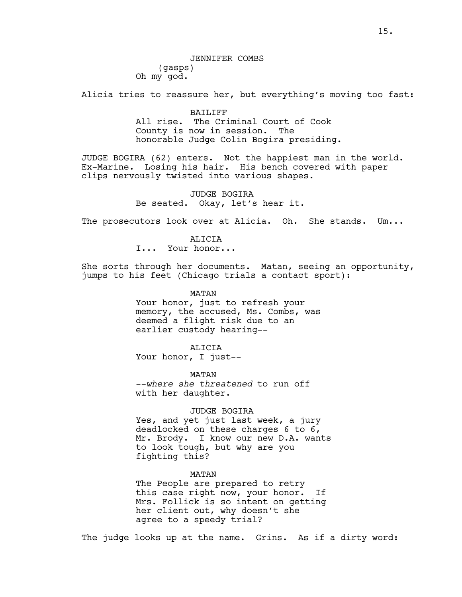Alicia tries to reassure her, but everything's moving too fast:

BAILIFF All rise. The Criminal Court of Cook County is now in session. The honorable Judge Colin Bogira presiding.

JUDGE BOGIRA (62) enters. Not the happiest man in the world. Ex-Marine. Losing his hair. His bench covered with paper clips nervously twisted into various shapes.

> JUDGE BOGIRA Be seated. Okay, let's hear it.

The prosecutors look over at Alicia. Oh. She stands. Um...

**ALICIA** I... Your honor...

She sorts through her documents. Matan, seeing an opportunity, jumps to his feet (Chicago trials a contact sport):

> MATAN Your honor, just to refresh your memory, the accused, Ms. Combs, was deemed a flight risk due to an earlier custody hearing--

ALICIA Your honor, I just--

MATAN --*where she threatened* to run off with her daughter.

JUDGE BOGIRA

Yes, and yet just last week, a jury deadlocked on these charges 6 to 6, Mr. Brody. I know our new D.A. wants to look tough, but why are you fighting this?

MATAN

The People are prepared to retry this case right now, your honor. If Mrs. Follick is so intent on getting her client out, why doesn't she agree to a speedy trial?

The judge looks up at the name. Grins. As if a dirty word: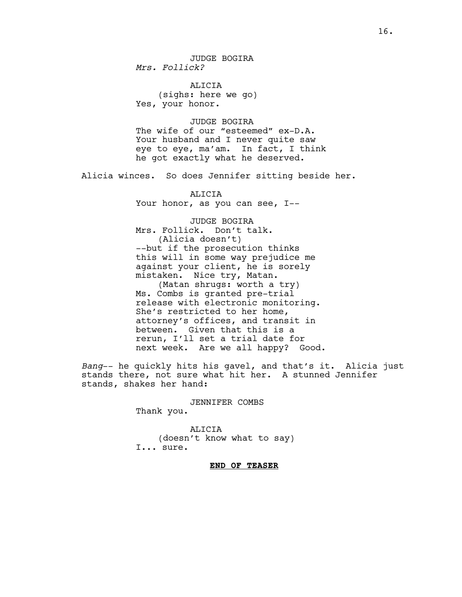ALICIA (sighs: here we go) Yes, your honor.

JUDGE BOGIRA The wife of our "esteemed" ex-D.A. Your husband and I never quite saw eye to eye, ma'am. In fact, I think he got exactly what he deserved.

Alicia winces. So does Jennifer sitting beside her.

ALICIA Your honor, as you can see, I--

JUDGE BOGIRA Mrs. Follick. Don't talk. (Alicia doesn't) --but if the prosecution thinks this will in some way prejudice me against your client, he is sorely mistaken. Nice try, Matan. (Matan shrugs: worth a try) Ms. Combs is granted pre-trial release with electronic monitoring. She's restricted to her home, attorney's offices, and transit in between. Given that this is a rerun, I'll set a trial date for next week. Are we all happy? Good.

*Bang*-- he quickly hits his gavel, and that's it. Alicia just stands there, not sure what hit her. A stunned Jennifer stands, shakes her hand:

> JENNIFER COMBS Thank you.

ALICIA (doesn't know what to say) I... sure.

**END OF TEASER**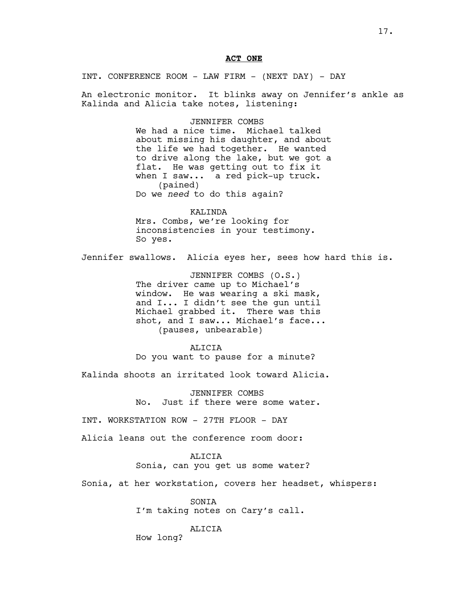#### **ACT ONE**

INT. CONFERENCE ROOM - LAW FIRM - (NEXT DAY) - DAY

An electronic monitor. It blinks away on Jennifer's ankle as Kalinda and Alicia take notes, listening:

#### JENNIFER COMBS

We had a nice time. Michael talked about missing his daughter, and about the life we had together. He wanted to drive along the lake, but we got a flat. He was getting out to fix it when I saw... a red pick-up truck. (pained) Do we *need* to do this again?

KALINDA Mrs. Combs, we're looking for inconsistencies in your testimony. So yes.

Jennifer swallows. Alicia eyes her, sees how hard this is.

JENNIFER COMBS (O.S.) The driver came up to Michael's window. He was wearing a ski mask, and I... I didn't see the gun until Michael grabbed it. There was this shot, and I saw... Michael's face... (pauses, unbearable)

#### ALICIA

Do you want to pause for a minute?

Kalinda shoots an irritated look toward Alicia.

JENNIFER COMBS No. Just if there were some water.

INT. WORKSTATION ROW - 27TH FLOOR - DAY

Alicia leans out the conference room door:

#### ALICIA

Sonia, can you get us some water?

Sonia, at her workstation, covers her headset, whispers:

SONIA I'm taking notes on Cary's call.

#### ALICIA

How long?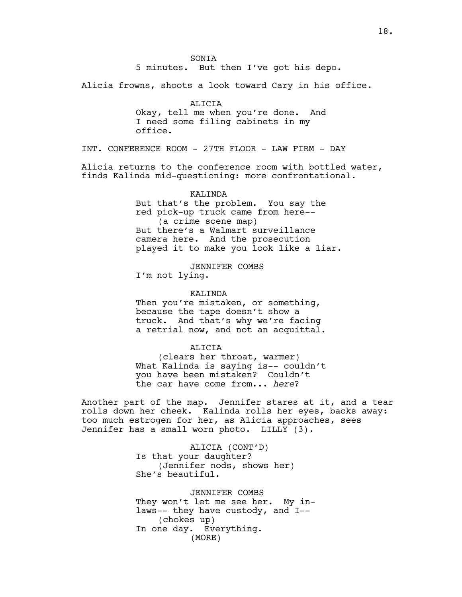**SONTA** 5 minutes. But then I've got his depo.

Alicia frowns, shoots a look toward Cary in his office.

ALICIA Okay, tell me when you're done. And I need some filing cabinets in my office.

INT. CONFERENCE ROOM - 27TH FLOOR - LAW FIRM - DAY

Alicia returns to the conference room with bottled water, finds Kalinda mid-questioning: more confrontational.

KALINDA

But that's the problem. You say the red pick-up truck came from here-- (a crime scene map) But there's a Walmart surveillance camera here. And the prosecution played it to make you look like a liar.

JENNIFER COMBS I'm not lying.

KALINDA

Then you're mistaken, or something, because the tape doesn't show a truck. And that's why we're facing a retrial now, and not an acquittal.

ALICIA

(clears her throat, warmer) What Kalinda is saying is-- couldn't you have been mistaken? Couldn't the car have come from... *here*?

Another part of the map. Jennifer stares at it, and a tear rolls down her cheek. Kalinda rolls her eyes, backs away: too much estrogen for her, as Alicia approaches, sees Jennifer has a small worn photo. LILLY (3).

> ALICIA (CONT'D) Is that your daughter? (Jennifer nods, shows her) She's beautiful.

JENNIFER COMBS They won't let me see her. My inlaws-- they have custody, and I-- (chokes up) In one day. Everything. (MORE)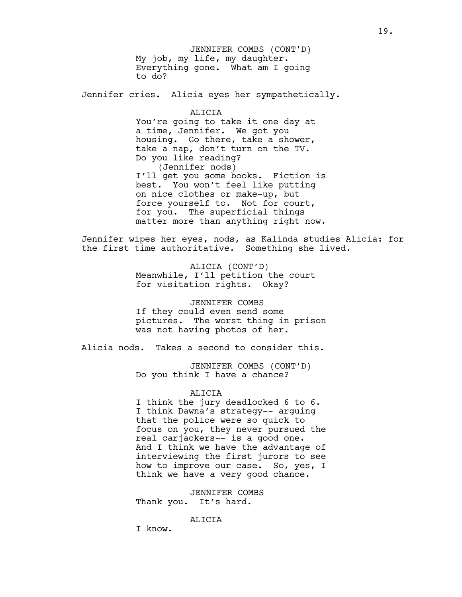My job, my life, my daughter. Everything gone. What am I going to do? JENNIFER COMBS (CONT'D)

Jennifer cries. Alicia eyes her sympathetically.

ALICIA You're going to take it one day at a time, Jennifer. We got you housing. Go there, take a shower, take a nap, don't turn on the TV. Do you like reading? (Jennifer nods) I'll get you some books. Fiction is best. You won't feel like putting on nice clothes or make-up, but force yourself to. Not for court, for you. The superficial things matter more than anything right now.

Jennifer wipes her eyes, nods, as Kalinda studies Alicia: for the first time authoritative. Something she lived.

> ALICIA (CONT'D) Meanwhile, I'll petition the court for visitation rights. Okay?

JENNIFER COMBS If they could even send some pictures. The worst thing in prison was not having photos of her.

Alicia nods. Takes a second to consider this.

JENNIFER COMBS (CONT'D) Do you think I have a chance?

#### ALICIA

I think the jury deadlocked 6 to 6. I think Dawna's strategy-- arguing that the police were so quick to focus on you, they never pursued the real carjackers-- is a good one. And I think we have the advantage of interviewing the first jurors to see how to improve our case. So, yes, I think we have a very good chance.

JENNIFER COMBS Thank you. It's hard.

**ALICIA** 

I know.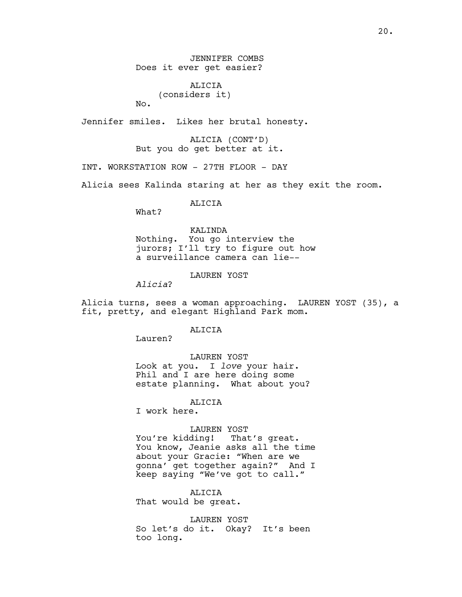JENNIFER COMBS Does it ever get easier?

ALICIA (considers it) No.

Jennifer smiles. Likes her brutal honesty.

ALICIA (CONT'D) But you do get better at it.

INT. WORKSTATION ROW - 27TH FLOOR - DAY

Alicia sees Kalinda staring at her as they exit the room.

ALICIA

What?

KALINDA Nothing. You go interview the jurors; I'll try to figure out how a surveillance camera can lie--

LAUREN YOST

*Alicia*?

Alicia turns, sees a woman approaching. LAUREN YOST (35), a fit, pretty, and elegant Highland Park mom.

ALICIA

Lauren?

LAUREN YOST Look at you. I *love* your hair. Phil and I are here doing some estate planning. What about you?

ALICIA

I work here.

#### LAUREN YOST

You're kidding! That's great. You know, Jeanie asks all the time about your Gracie: "When are we gonna' get together again?" And I keep saying "We've got to call."

ALICIA

That would be great.

LAUREN YOST So let's do it. Okay? It's been too long.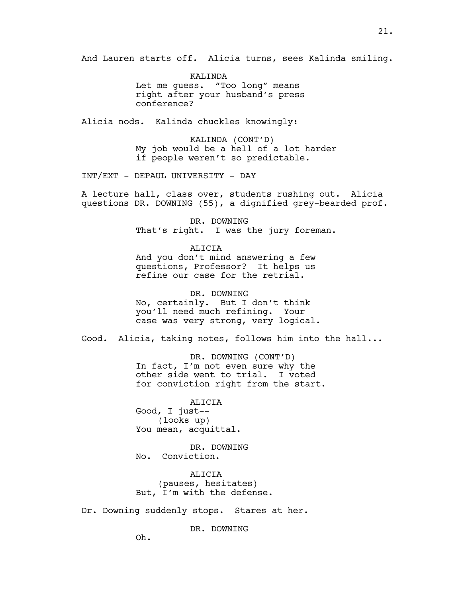And Lauren starts off. Alicia turns, sees Kalinda smiling.

KALINDA Let me guess. "Too long" means right after your husband's press conference?

Alicia nods. Kalinda chuckles knowingly:

KALINDA (CONT'D) My job would be a hell of a lot harder if people weren't so predictable.

INT/EXT - DEPAUL UNIVERSITY - DAY

A lecture hall, class over, students rushing out. Alicia questions DR. DOWNING (55), a dignified grey-bearded prof.

> DR. DOWNING That's right. I was the jury foreman.

ALICIA And you don't mind answering a few questions, Professor? It helps us refine our case for the retrial.

DR. DOWNING No, certainly. But I don't think you'll need much refining. Your case was very strong, very logical.

Good. Alicia, taking notes, follows him into the hall...

DR. DOWNING (CONT'D) In fact, I'm not even sure why the other side went to trial. I voted for conviction right from the start.

ALICIA Good, I just-- (looks up) You mean, acquittal.

DR. DOWNING No. Conviction.

ALICIA (pauses, hesitates) But, I'm with the defense.

Dr. Downing suddenly stops. Stares at her.

DR. DOWNING

Oh.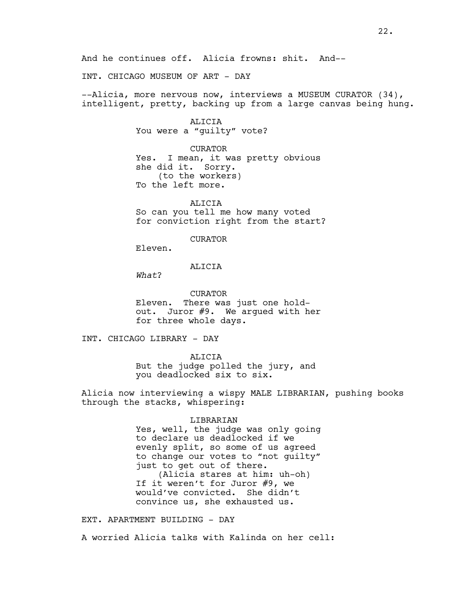INT. CHICAGO MUSEUM OF ART - DAY

--Alicia, more nervous now, interviews a MUSEUM CURATOR (34), intelligent, pretty, backing up from a large canvas being hung.

> ALICIA You were a "guilty" vote?

CURATOR Yes. I mean, it was pretty obvious she did it. Sorry. (to the workers) To the left more.

ALICIA So can you tell me how many voted for conviction right from the start?

CURATOR

Eleven.

#### ALICIA

*What*?

CURATOR Eleven. There was just one holdout. Juror #9. We argued with her for three whole days.

INT. CHICAGO LIBRARY - DAY

ALICIA But the judge polled the jury, and you deadlocked six to six.

Alicia now interviewing a wispy MALE LIBRARIAN, pushing books through the stacks, whispering:

#### LIBRARIAN

Yes, well, the judge was only going to declare us deadlocked if we evenly split, so some of us agreed to change our votes to "not guilty" just to get out of there. (Alicia stares at him: uh-oh) If it weren't for Juror #9, we would've convicted. She didn't convince us, she exhausted us.

EXT. APARTMENT BUILDING - DAY

A worried Alicia talks with Kalinda on her cell: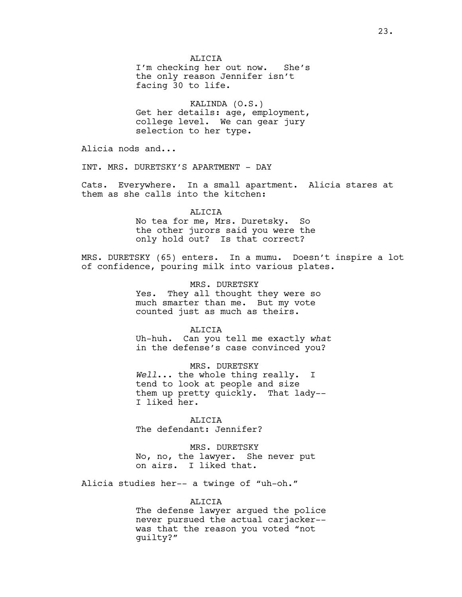**ALICIA** I'm checking her out now. She's the only reason Jennifer isn't facing 30 to life.

KALINDA (O.S.) Get her details: age, employment, college level. We can gear jury selection to her type.

Alicia nods and...

INT. MRS. DURETSKY'S APARTMENT - DAY

Cats. Everywhere. In a small apartment. Alicia stares at them as she calls into the kitchen:

> ALICIA No tea for me, Mrs. Duretsky. So the other jurors said you were the only hold out? Is that correct?

MRS. DURETSKY (65) enters. In a mumu. Doesn't inspire a lot of confidence, pouring milk into various plates.

> MRS. DURETSKY Yes. They all thought they were so much smarter than me. But my vote counted just as much as theirs.

ALICIA Uh-huh. Can you tell me exactly *what* in the defense's case convinced you?

MRS. DURETSKY *Well*... the whole thing really. I tend to look at people and size them up pretty quickly. That lady-- I liked her.

ALICIA The defendant: Jennifer?

MRS. DURETSKY No, no, the lawyer. She never put on airs. I liked that.

Alicia studies her-- a twinge of "uh-oh."

#### ALICIA

The defense lawyer argued the police never pursued the actual carjacker- was that the reason you voted "not guilty?"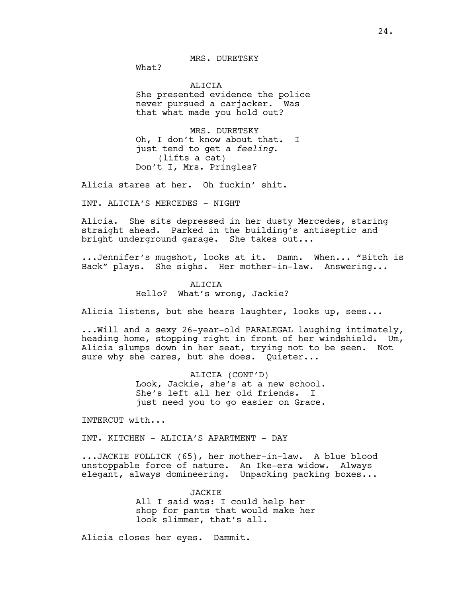MRS. DURETSKY

What?

ALICTA She presented evidence the police never pursued a carjacker. Was that what made you hold out?

MRS. DURETSKY Oh, I don't know about that. I just tend to get a *feeling*. (lifts a cat) Don't I, Mrs. Pringles?

Alicia stares at her. Oh fuckin' shit.

INT. ALICIA'S MERCEDES - NIGHT

Alicia. She sits depressed in her dusty Mercedes, staring straight ahead. Parked in the building's antiseptic and bright underground garage. She takes out...

...Jennifer's mugshot, looks at it. Damn. When... "Bitch is Back" plays. She sighs. Her mother-in-law. Answering...

# ALICIA

Hello? What's wrong, Jackie?

Alicia listens, but she hears laughter, looks up, sees...

...Will and a sexy 26-year-old PARALEGAL laughing intimately, heading home, stopping right in front of her windshield. Um, Alicia slumps down in her seat, trying not to be seen. Not sure why she cares, but she does. Quieter...

> ALICIA (CONT'D) Look, Jackie, she's at a new school. She's left all her old friends. I just need you to go easier on Grace.

INTERCUT with...

INT. KITCHEN - ALICIA'S APARTMENT - DAY

...JACKIE FOLLICK (65), her mother-in-law. A blue blood unstoppable force of nature. An Ike-era widow. Always elegant, always domineering. Unpacking packing boxes...

> **JACKIE** All I said was: I could help her shop for pants that would make her look slimmer, that's all.

Alicia closes her eyes. Dammit.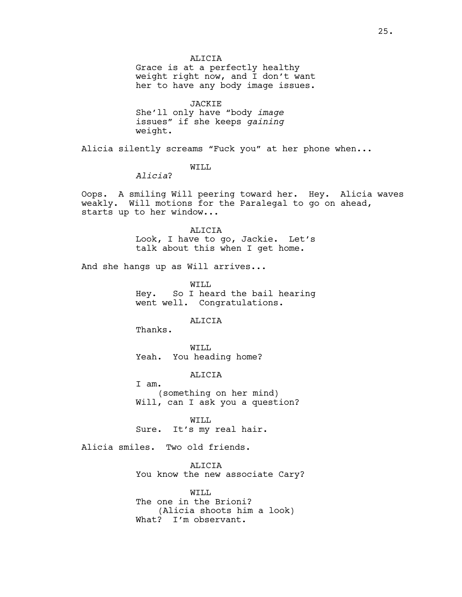**ALICIA** 

Grace is at a perfectly healthy weight right now, and I don't want her to have any body image issues.

JACKIE She'll only have "body *image* issues" if she keeps *gaining* weight.

Alicia silently screams "Fuck you" at her phone when...

WILL

*Alicia*?

Oops. A smiling Will peering toward her. Hey. Alicia waves weakly. Will motions for the Paralegal to go on ahead, starts up to her window...

> ALICIA Look, I have to go, Jackie. Let's talk about this when I get home.

And she hangs up as Will arrives...

WILL Hey. So I heard the bail hearing went well. Congratulations.

ALICIA

Thanks.

WILL Yeah. You heading home?

ALICIA

I am. (something on her mind) Will, can I ask you a question?

WILL Sure. It's my real hair.

Alicia smiles. Two old friends.

ALICIA You know the new associate Cary?

WTT.T. The one in the Brioni? (Alicia shoots him a look) What? I'm observant.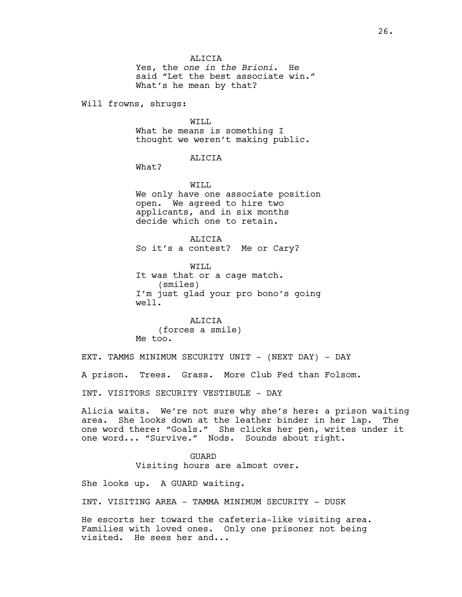**ALICIA** 

Yes, the *one in the Brioni*. He said "Let the best associate win." What's he mean by that?

Will frowns, shrugs:

WILL What he means is something I thought we weren't making public.

ALICIA

What?

WTT.T.

We only have one associate position open. We agreed to hire two applicants, and in six months decide which one to retain.

**ALICIA** So it's a contest? Me or Cary?

WILL It was that or a cage match. (smiles) I'm just glad your pro bono's going well.

ALICIA (forces a smile) Me too.

EXT. TAMMS MINIMUM SECURITY UNIT - (NEXT DAY) - DAY

A prison. Trees. Grass. More Club Fed than Folsom.

INT. VISITORS SECURITY VESTIBULE - DAY

Alicia waits. We're not sure why she's here: a prison waiting area. She looks down at the leather binder in her lap. The one word there: "Goals." She clicks her pen, writes under it one word... "Survive." Nods. Sounds about right.

GUARD

Visiting hours are almost over.

She looks up. A GUARD waiting.

INT. VISITING AREA - TAMMA MINIMUM SECURITY - DUSK

He escorts her toward the cafeteria-like visiting area. Families with loved ones. Only one prisoner not being visited. He sees her and...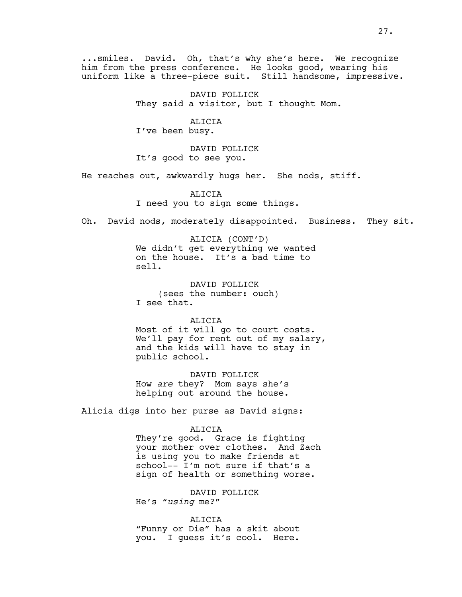...smiles. David. Oh, that's why she's here. We recognize him from the press conference. He looks good, wearing his uniform like a three-piece suit. Still handsome, impressive.

> DAVID FOLLICK They said a visitor, but I thought Mom.

> > ALICIA

I've been busy.

DAVID FOLLICK It's good to see you.

He reaches out, awkwardly hugs her. She nods, stiff.

ALICIA I need you to sign some things.

Oh. David nods, moderately disappointed. Business. They sit.

ALICIA (CONT'D) We didn't get everything we wanted on the house. It's a bad time to sell.

DAVID FOLLICK (sees the number: ouch) I see that.

ALICIA

Most of it will go to court costs. We'll pay for rent out of my salary, and the kids will have to stay in public school.

DAVID FOLLICK How *are* they? Mom says she's helping out around the house.

Alicia digs into her purse as David signs:

#### ALICIA

They're good. Grace is fighting your mother over clothes. And Zach is using you to make friends at school-- I'm not sure if that's a sign of health or something worse.

DAVID FOLLICK He's "*using* me?"

ALICIA "Funny or Die" has a skit about you. I guess it's cool. Here.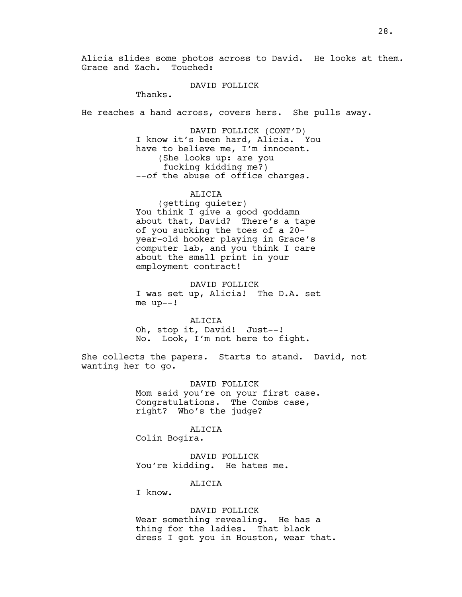Alicia slides some photos across to David. He looks at them. Grace and Zach. Touched:

#### DAVID FOLLICK

Thanks.

He reaches a hand across, covers hers. She pulls away.

DAVID FOLLICK (CONT'D) I know it's been hard, Alicia. You have to believe me, I'm innocent. (She looks up: are you fucking kidding me?) --*of* the abuse of office charges.

ALICIA

(getting quieter) You think I give a good goddamn about that, David? There's a tape of you sucking the toes of a 20 year-old hooker playing in Grace's computer lab, and you think I care about the small print in your employment contract!

DAVID FOLLICK I was set up, Alicia! The D.A. set me up--!

ALICIA Oh, stop it, David! Just--! No. Look, I'm not here to fight.

She collects the papers. Starts to stand. David, not wanting her to go.

> DAVID FOLLICK Mom said you're on your first case. Congratulations. The Combs case, right? Who's the judge?

ALICIA Colin Bogira.

DAVID FOLLICK You're kidding. He hates me.

ALICIA

I know.

DAVID FOLLICK Wear something revealing. He has a thing for the ladies. That black dress I got you in Houston, wear that.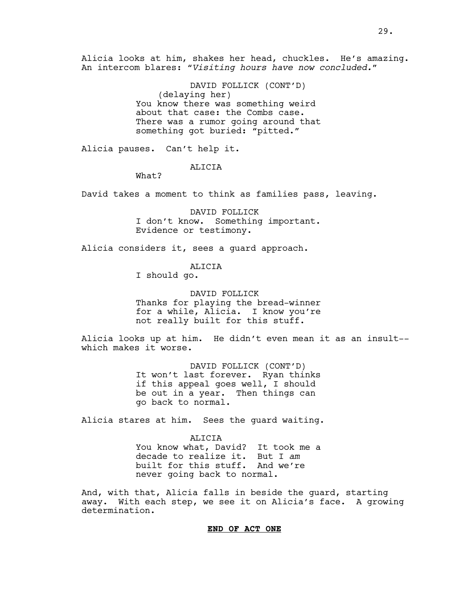Alicia looks at him, shakes her head, chuckles. He's amazing. An intercom blares: "*Visiting hours have now concluded."* 

> DAVID FOLLICK (CONT'D) (delaying her) You know there was something weird about that case: the Combs case. There was a rumor going around that something got buried: "pitted."

Alicia pauses. Can't help it.

#### ALICIA

What?

David takes a moment to think as families pass, leaving.

DAVID FOLLICK I don't know. Something important. Evidence or testimony.

Alicia considers it, sees a guard approach.

#### ALICIA

I should go.

DAVID FOLLICK Thanks for playing the bread-winner for a while, Alicia. I know you're not really built for this stuff.

Alicia looks up at him. He didn't even mean it as an insult- which makes it worse.

> DAVID FOLLICK (CONT'D) It won't last forever. Ryan thinks if this appeal goes well, I should be out in a year. Then things can go back to normal.

Alicia stares at him. Sees the guard waiting.

ALICIA You know what, David? It took me a decade to realize it. But I *am* built for this stuff. And we're never going back to normal.

And, with that, Alicia falls in beside the guard, starting away. With each step, we see it on Alicia's face. A growing determination.

#### **END OF ACT ONE**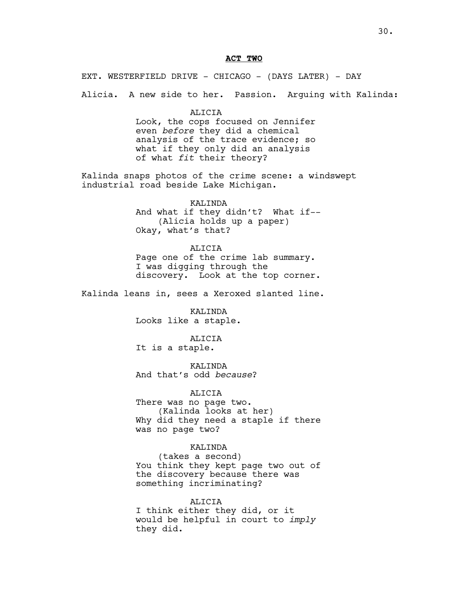#### **ACT TWO**

EXT. WESTERFIELD DRIVE - CHICAGO - (DAYS LATER) - DAY Alicia.A new side to her. Passion. Arguing with Kalinda:

> ALICIA Look, the cops focused on Jennifer even *before* they did a chemical analysis of the trace evidence; so what if they only did an analysis of what *fit* their theory?

Kalinda snaps photos of the crime scene: a windswept industrial road beside Lake Michigan.

> KALINDA And what if they didn't? What if-- (Alicia holds up a paper) Okay, what's that?

#### ALICIA Page one of the crime lab summary. I was digging through the discovery. Look at the top corner.

Kalinda leans in, sees a Xeroxed slanted line.

KALINDA Looks like a staple.

ALICIA It is a staple.

KALINDA And that's odd *because*?

ALICIA

There was no page two. (Kalinda looks at her) Why did they need a staple if there was no page two?

#### KALINDA

(takes a second) You think they kept page two out of the discovery because there was something incriminating?

ALICIA

I think either they did, or it would be helpful in court to *imply* they did.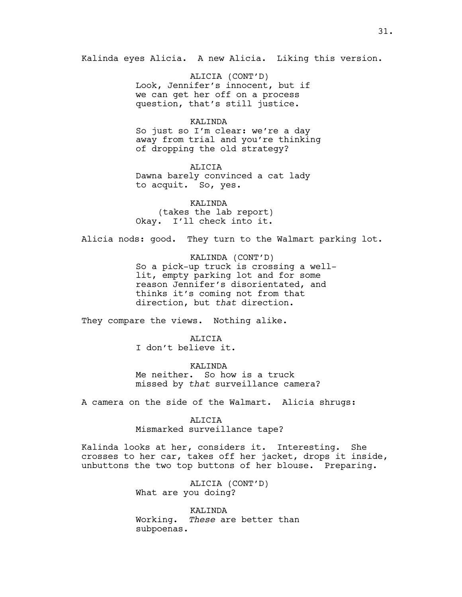Kalinda eyes Alicia. A new Alicia. Liking this version.

ALICIA (CONT'D) Look, Jennifer's innocent, but if we can get her off on a process question, that's still justice.

#### KALINDA

So just so I'm clear: we're a day away from trial and you're thinking of dropping the old strategy?

ALICIA Dawna barely convinced a cat lady to acquit. So, yes.

KALINDA (takes the lab report) Okay. I'll check into it.

Alicia nods: good. They turn to the Walmart parking lot.

KALINDA (CONT'D) So a pick-up truck is crossing a welllit, empty parking lot and for some reason Jennifer's disorientated, and thinks it's coming not from that direction, but *that* direction.

They compare the views. Nothing alike.

**ALICIA** 

I don't believe it.

KALINDA Me neither. So how is a truck missed by *that* surveillance camera?

A camera on the side of the Walmart. Alicia shrugs:

ALICIA

Mismarked surveillance tape?

Kalinda looks at her, considers it. Interesting. She crosses to her car, takes off her jacket, drops it inside, unbuttons the two top buttons of her blouse. Preparing.

> ALICIA (CONT'D) What are you doing?

KALINDA Working. *These* are better than subpoenas.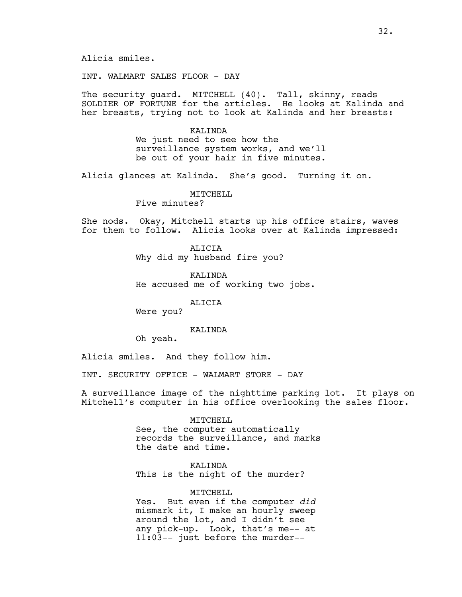INT. WALMART SALES FLOOR - DAY

The security guard. MITCHELL (40). Tall, skinny, reads SOLDIER OF FORTUNE for the articles. He looks at Kalinda and her breasts, trying not to look at Kalinda and her breasts:

> KALINDA We just need to see how the surveillance system works, and we'll be out of your hair in five minutes.

Alicia glances at Kalinda. She's good. Turning it on.

MITCHELL

Five minutes?

She nods. Okay, Mitchell starts up his office stairs, waves for them to follow. Alicia looks over at Kalinda impressed:

> ALICIA Why did my husband fire you?

KALINDA He accused me of working two jobs.

ALICIA

Were you?

#### KALINDA

Oh yeah.

Alicia smiles. And they follow him.

INT. SECURITY OFFICE - WALMART STORE - DAY

A surveillance image of the nighttime parking lot. It plays on Mitchell's computer in his office overlooking the sales floor.

#### MITCHELL

See, the computer automatically records the surveillance, and marks the date and time.

KALINDA This is the night of the murder?

#### MITCHELL

Yes. But even if the computer *did* mismark it, I make an hourly sweep around the lot, and I didn't see any pick-up. Look, that's me-- at 11:03-- just before the murder--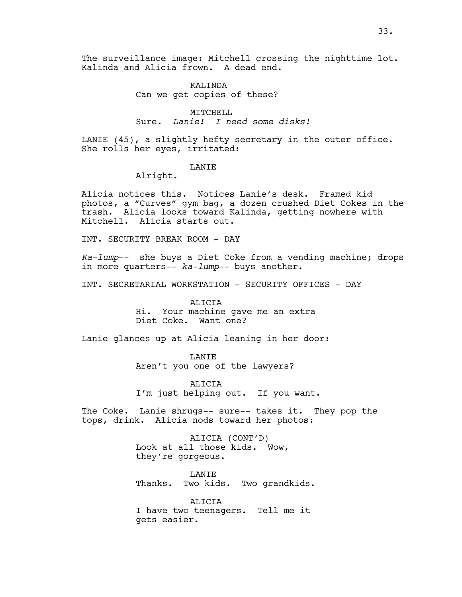The surveillance image: Mitchell crossing the nighttime lot. Kalinda and Alicia frown. A dead end.

#### KALTNDA Can we get copies of these?

MITCHELL Sure. *Lanie! I need some disks!*

LANIE (45), a slightly hefty secretary in the outer office. She rolls her eyes, irritated:

#### LANIE

Alright.

Alicia notices this. Notices Lanie's desk. Framed kid photos, a "Curves" gym bag, a dozen crushed Diet Cokes in the trash. Alicia looks toward Kalinda, getting nowhere with Mitchell. Alicia starts out.

INT. SECURITY BREAK ROOM - DAY

*Ka-lump*-- she buys a Diet Coke from a vending machine; drops in more quarters-- *ka-lump*-- buys another.

INT. SECRETARIAL WORKSTATION - SECURITY OFFICES - DAY

ALICIA Hi. Your machine gave me an extra Diet Coke. Want one?

Lanie glances up at Alicia leaning in her door:

LANIE Aren't you one of the lawyers?

ALICIA I'm just helping out. If you want.

The Coke. Lanie shrugs-- sure-- takes it. They pop the tops, drink. Alicia nods toward her photos:

> ALICIA (CONT'D) Look at all those kids. Wow, they're gorgeous.

**LANTE** Thanks. Two kids. Two grandkids.

ALICIA I have two teenagers. Tell me it gets easier.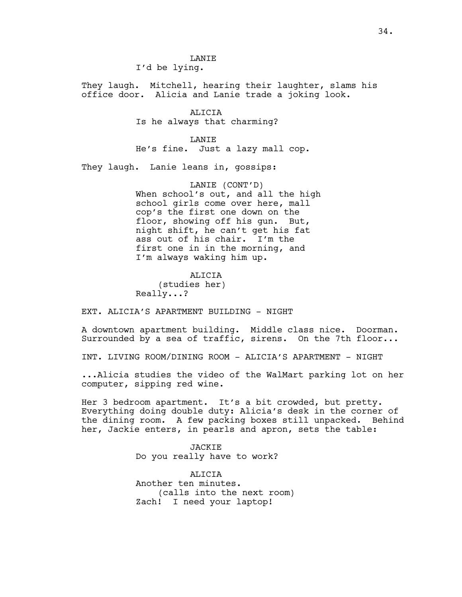**LANTE** I'd be lying.

They laugh. Mitchell, hearing their laughter, slams his office door. Alicia and Lanie trade a joking look.

> ALICIA Is he always that charming?

LANIE He's fine. Just a lazy mall cop.

They laugh. Lanie leans in, gossips:

LANIE (CONT'D) When school's out, and all the high school girls come over here, mall cop's the first one down on the floor, showing off his gun. But, night shift, he can't get his fat ass out of his chair. I'm the first one in in the morning, and I'm always waking him up.

ALICIA (studies her) Really...?

EXT. ALICIA'S APARTMENT BUILDING - NIGHT

A downtown apartment building. Middle class nice. Doorman. Surrounded by a sea of traffic, sirens. On the 7th floor...

INT. LIVING ROOM/DINING ROOM - ALICIA'S APARTMENT - NIGHT

...Alicia studies the video of the WalMart parking lot on her computer, sipping red wine.

Her 3 bedroom apartment. It's a bit crowded, but pretty. Everything doing double duty: Alicia's desk in the corner of the dining room. A few packing boxes still unpacked. Behind her, Jackie enters, in pearls and apron, sets the table:

> JACKIE Do you really have to work?

**ALICIA** Another ten minutes. (calls into the next room) Zach! I need your laptop!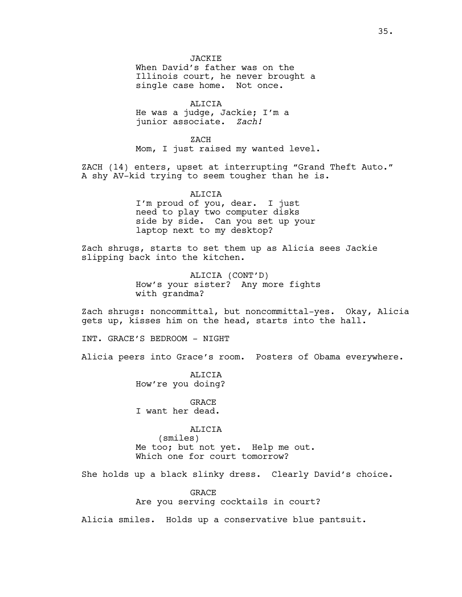ALICIA He was a judge, Jackie; I'm a junior associate. *Zach!*

ZACH Mom, I just raised my wanted level.

ZACH (14) enters, upset at interrupting "Grand Theft Auto." A shy AV-kid trying to seem tougher than he is.

> ALICIA I'm proud of you, dear. I just need to play two computer disks side by side. Can you set up your laptop next to my desktop?

Zach shrugs, starts to set them up as Alicia sees Jackie slipping back into the kitchen.

> ALICIA (CONT'D) How's your sister? Any more fights with grandma?

Zach shrugs: noncommittal, but noncommittal-yes. Okay, Alicia gets up, kisses him on the head, starts into the hall.

INT. GRACE'S BEDROOM - NIGHT

Alicia peers into Grace's room. Posters of Obama everywhere.

**ALICIA** How're you doing?

GRACE I want her dead.

ALICIA (smiles) Me too; but not yet. Help me out. Which one for court tomorrow?

She holds up a black slinky dress. Clearly David's choice.

GRACE Are you serving cocktails in court?

Alicia smiles. Holds up a conservative blue pantsuit.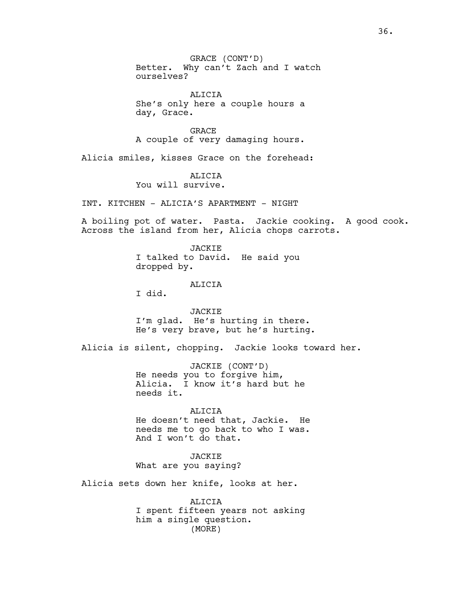GRACE (CONT'D) Better. Why can't Zach and I watch ourselves?

ALICIA She's only here a couple hours a day, Grace.

GRACE A couple of very damaging hours.

Alicia smiles, kisses Grace on the forehead:

**ALICIA** 

You will survive.

INT. KITCHEN - ALICIA'S APARTMENT - NIGHT

A boiling pot of water. Pasta. Jackie cooking. A good cook. Across the island from her, Alicia chops carrots.

> JACKIE I talked to David. He said you dropped by.

> > ALICIA

I did.

JACKIE I'm glad. He's hurting in there. He's very brave, but he's hurting.

Alicia is silent, chopping. Jackie looks toward her.

JACKIE (CONT'D) He needs you to forgive him, Alicia. I know it's hard but he needs it.

ALICIA He doesn't need that, Jackie. He needs me to go back to who I was. And I won't do that.

**JACKIE** What are you saying?

Alicia sets down her knife, looks at her.

ALICIA I spent fifteen years not asking him a single question. (MORE)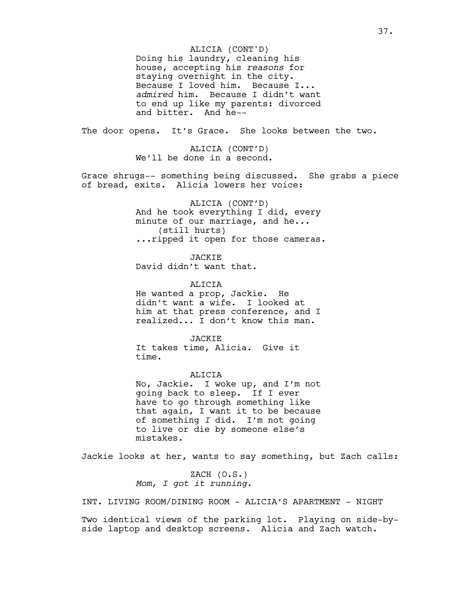Doing his laundry, cleaning his house, accepting his *reasons* for staying overnight in the city. Because I loved him. Because I... *admired* him. Because I didn't want to end up like my parents: divorced and bitter. And he-- ALICIA (CONT'D)

The door opens. It's Grace. She looks between the two.

ALICIA (CONT'D) We'll be done in a second.

Grace shrugs-- something being discussed. She grabs a piece of bread, exits. Alicia lowers her voice:

> ALICIA (CONT'D) And he took everything I did, every minute of our marriage, and he... (still hurts) ...ripped it open for those cameras.

**JACKIE** David didn't want that.

ALICIA He wanted a prop, Jackie. He didn't want a wife. I looked at him at that press conference, and I realized... I don't know this man.

**JACKIE** It takes time, Alicia. Give it time.

ALICIA No, Jackie. I woke up, and I'm not going back to sleep. If I ever have to go through something like that again, I want it to be because of something *I* did. I'm not going to live or die by someone else's mistakes.

Jackie looks at her, wants to say something, but Zach calls:

 $ZACH (O.S.)$ *Mom, I got it running.*

INT. LIVING ROOM/DINING ROOM - ALICIA'S APARTMENT - NIGHT

Two identical views of the parking lot. Playing on side-byside laptop and desktop screens. Alicia and Zach watch.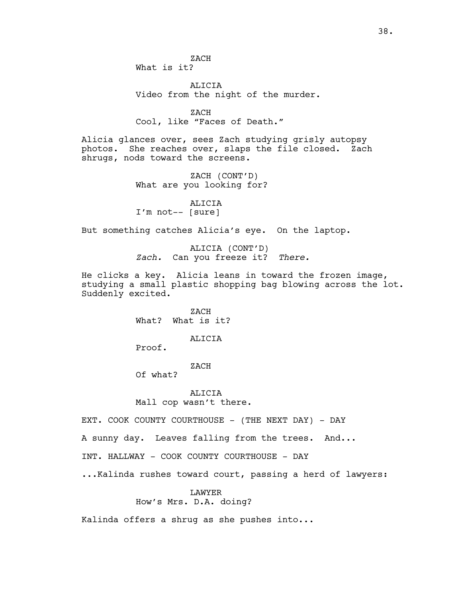ALICIA Video from the night of the murder.

ZACH Cool, like "Faces of Death."

Alicia glances over, sees Zach studying grisly autopsy photos. She reaches over, slaps the file closed. Zach shrugs, nods toward the screens.

> ZACH (CONT'D) What are you looking for?

ALICIA I'm not-- [sure]

But something catches Alicia's eye. On the laptop.

ALICIA (CONT'D) *Zach.* Can you freeze it? *There.*

He clicks a key. Alicia leans in toward the frozen image, studying a small plastic shopping bag blowing across the lot. Suddenly excited.

> ZACH What? What is it?

> > ALICIA

Proof.

#### ZACH

Of what?

ALICIA Mall cop wasn't there.

EXT. COOK COUNTY COURTHOUSE - (THE NEXT DAY) - DAY

A sunny day. Leaves falling from the trees. And...

INT. HALLWAY - COOK COUNTY COURTHOUSE - DAY

...Kalinda rushes toward court, passing a herd of lawyers:

#### LAWYER

How's Mrs. D.A. doing?

Kalinda offers a shrug as she pushes into...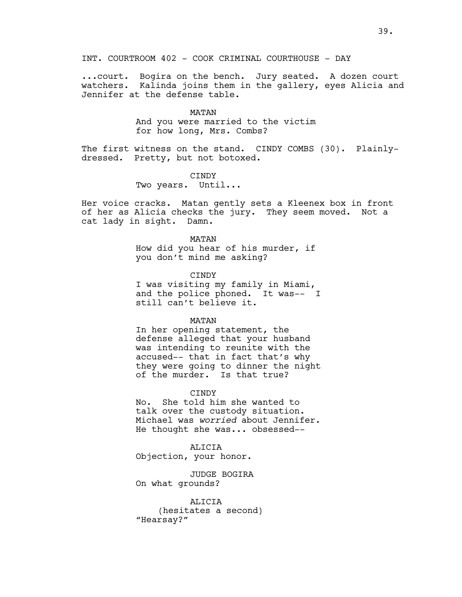...court. Bogira on the bench. Jury seated. A dozen court watchers. Kalinda joins them in the gallery, eyes Alicia and Jennifer at the defense table.

MATAN

And you were married to the victim for how long, Mrs. Combs?

The first witness on the stand. CINDY COMBS (30). Plainlydressed. Pretty, but not botoxed.

> CINDY Two years. Until...

Her voice cracks. Matan gently sets a Kleenex box in front of her as Alicia checks the jury. They seem moved. Not a cat lady in sight. Damn.

> MATAN How did you hear of his murder, if you don't mind me asking?

> > **CTNDY**

I was visiting my family in Miami, and the police phoned. It was-- I still can't believe it.

MATAN

In her opening statement, the defense alleged that your husband was intending to reunite with the accused-- that in fact that's why they were going to dinner the night of the murder. Is that true?

**CINDY** 

No. She told him she wanted to talk over the custody situation. Michael was *worried* about Jennifer. He thought she was... obsessed--

ALICIA Objection, your honor.

JUDGE BOGIRA On what grounds?

ALICIA (hesitates a second) "Hearsay?"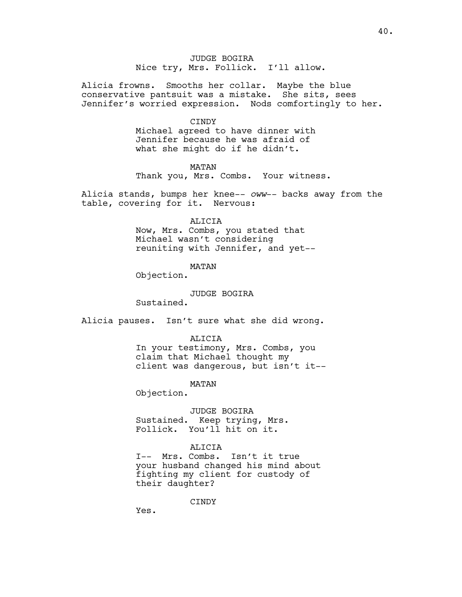JUDGE BOGIRA Nice try, Mrs. Follick. I'll allow.

Alicia frowns. Smooths her collar. Maybe the blue conservative pantsuit was a mistake. She sits, sees Jennifer's worried expression. Nods comfortingly to her.

CINDY

Michael agreed to have dinner with Jennifer because he was afraid of what she might do if he didn't.

MATAN

Thank you, Mrs. Combs. Your witness.

Alicia stands, bumps her knee-- *oww*-- backs away from the table, covering for it. Nervous:

ALICIA

Now, Mrs. Combs, you stated that Michael wasn't considering reuniting with Jennifer, and yet--

MATAN

Objection.

JUDGE BOGIRA

Sustained.

Alicia pauses. Isn't sure what she did wrong.

ALICIA

In your testimony, Mrs. Combs, you claim that Michael thought my client was dangerous, but isn't it--

MATAN

Objection.

JUDGE BOGIRA Sustained. Keep trying, Mrs. Follick. You'll hit on it.

#### ALICIA

I-- Mrs. Combs. Isn't it true your husband changed his mind about fighting my client for custody of their daughter?

CINDY

Yes.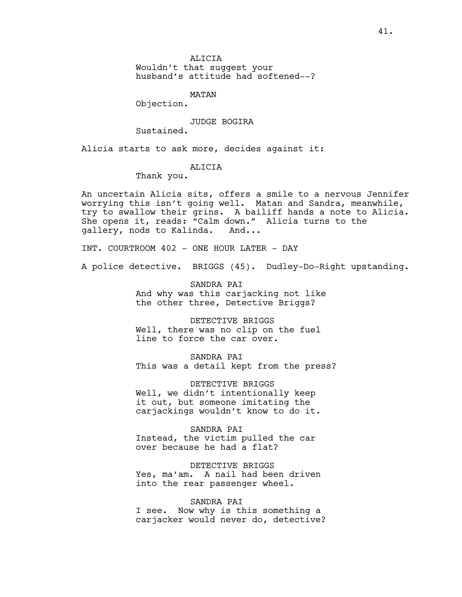Wouldn't that suggest your husband's attitude had softened--?

MATAN

Objection.

JUDGE BOGIRA

Sustained.

Alicia starts to ask more, decides against it:

#### ALICIA

Thank you.

An uncertain Alicia sits, offers a smile to a nervous Jennifer worrying this isn't going well. Matan and Sandra, meanwhile, try to swallow their grins. A bailiff hands a note to Alicia. She opens it, reads: "Calm down." Alicia turns to the gallery, nods to Kalinda. And...

INT. COURTROOM 402 - ONE HOUR LATER - DAY

A police detective. BRIGGS (45). Dudley-Do-Right upstanding.

SANDRA PAI And why was this carjacking not like the other three, Detective Briggs?

DETECTIVE BRIGGS Well, there was no clip on the fuel line to force the car over.

SANDRA PAI This was a detail kept from the press?

DETECTIVE BRIGGS Well, we didn't intentionally keep it out, but someone imitating the carjackings wouldn't know to do it.

#### SANDRA PAI

Instead, the victim pulled the car over because he had a flat?

DETECTIVE BRIGGS Yes, ma'am. A nail had been driven into the rear passenger wheel.

#### SANDRA PAI

I see. Now why is this something a carjacker would never do, detective?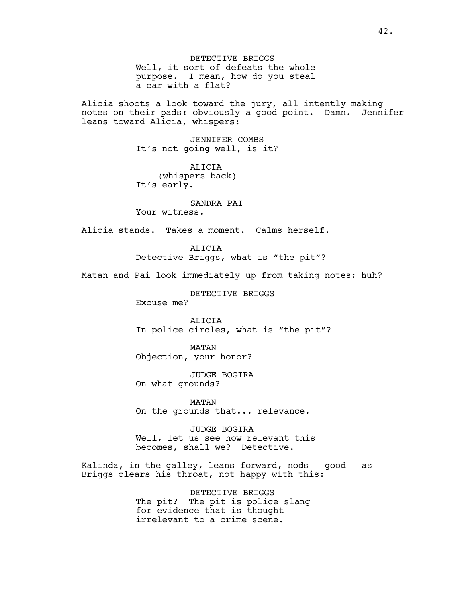DETECTIVE BRIGGS Well, it sort of defeats the whole purpose. I mean, how do you steal a car with a flat?

Alicia shoots a look toward the jury, all intently making notes on their pads: obviously a good point. Damn. Jennifer leans toward Alicia, whispers:

> JENNIFER COMBS It's not going well, is it?

ALICIA (whispers back) It's early.

SANDRA PAI Your witness.

Alicia stands. Takes a moment. Calms herself.

ALICIA Detective Briggs, what is "the pit"?

Matan and Pai look immediately up from taking notes: huh?

DETECTIVE BRIGGS

Excuse me?

ALICIA In police circles, what is "the pit"?

MATAN Objection, your honor?

JUDGE BOGIRA On what grounds?

MATAN On the grounds that... relevance.

JUDGE BOGIRA Well, let us see how relevant this becomes, shall we? Detective.

Kalinda, in the galley, leans forward, nods-- good-- as Briggs clears his throat, not happy with this:

> DETECTIVE BRIGGS The pit? The pit is police slang for evidence that is thought irrelevant to a crime scene.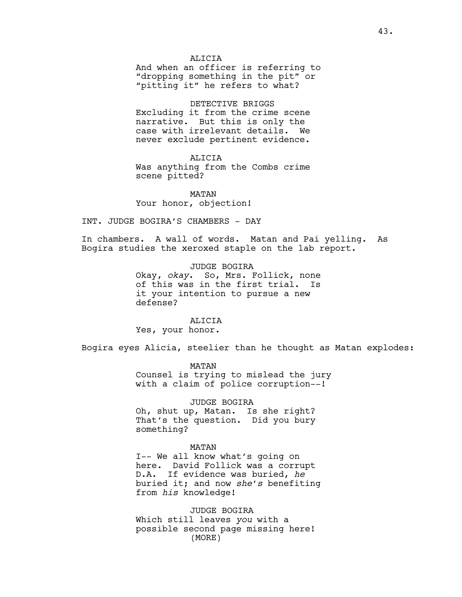#### **ALICIA**

And when an officer is referring to "dropping something in the pit" or "pitting it" he refers to what?

#### DETECTIVE BRIGGS

Excluding it from the crime scene narrative. But this is only the case with irrelevant details. We never exclude pertinent evidence.

#### ALICIA

Was anything from the Combs crime scene pitted?

MATAN Your honor, objection!

INT. JUDGE BOGIRA'S CHAMBERS - DAY

In chambers. A wall of words. Matan and Pai yelling. As Bogira studies the xeroxed staple on the lab report.

> JUDGE BOGIRA Okay, *okay*. So, Mrs. Follick, none of this was in the first trial. Is it your intention to pursue a new defense?

ALICIA Yes, your honor.

Bogira eyes Alicia, steelier than he thought as Matan explodes:

MATAN Counsel is trying to mislead the jury with a claim of police corruption--!

JUDGE BOGIRA Oh, shut up, Matan. Is she right? That's the question. Did you bury something?

#### MATAN

I-- We all know what's going on here. David Follick was a corrupt D.A. If evidence was buried, *he* buried it; and now *she's* benefiting from *his* knowledge!

JUDGE BOGIRA Which still leaves *you* with a possible second page missing here! (MORE)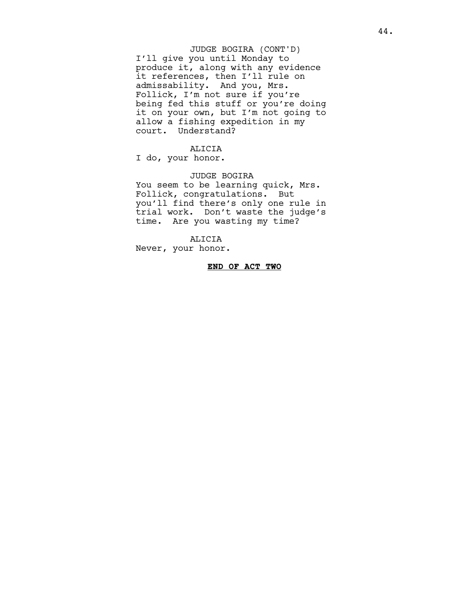#### I'll give you until Monday to produce it, along with any evidence it references, then I'll rule on admissability. And you, Mrs. Follick, I'm not sure if you're being fed this stuff or you're doing it on your own, but I'm not going to allow a fishing expedition in my court. Understand? JUDGE BOGIRA (CONT'D)

#### ALICIA

I do, your honor.

#### JUDGE BOGIRA

You seem to be learning quick, Mrs. Follick, congratulations. But you'll find there's only one rule in trial work. Don't waste the judge's time. Are you wasting my time?

ALICIA

Never, your honor.

#### **END OF ACT TWO**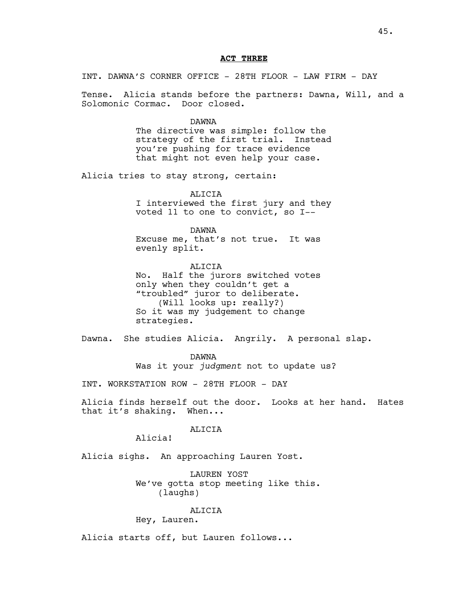#### **ACT THREE**

INT. DAWNA'S CORNER OFFICE - 28TH FLOOR - LAW FIRM - DAY

Tense. Alicia stands before the partners: Dawna, Will, and a Solomonic Cormac. Door closed.

#### DAWNA

The directive was simple: follow the strategy of the first trial. Instead you're pushing for trace evidence that might not even help your case.

Alicia tries to stay strong, certain:

**ALICIA** I interviewed the first jury and they voted 11 to one to convict, so I--

DAWNA Excuse me, that's not true. It was evenly split.

ALICIA No. Half the jurors switched votes only when they couldn't get a "troubled" juror to deliberate. (Will looks up: really?) So it was my judgement to change strategies.

Dawna. She studies Alicia. Angrily. A personal slap.

DAWNA Was it your *judgment* not to update us?

INT. WORKSTATION ROW - 28TH FLOOR - DAY

Alicia finds herself out the door. Looks at her hand. Hates that it's shaking. When...

#### ALICIA

Alicia!

Alicia sighs. An approaching Lauren Yost.

LAUREN YOST We've gotta stop meeting like this. (laughs)

#### ALICIA

Hey, Lauren.

Alicia starts off, but Lauren follows...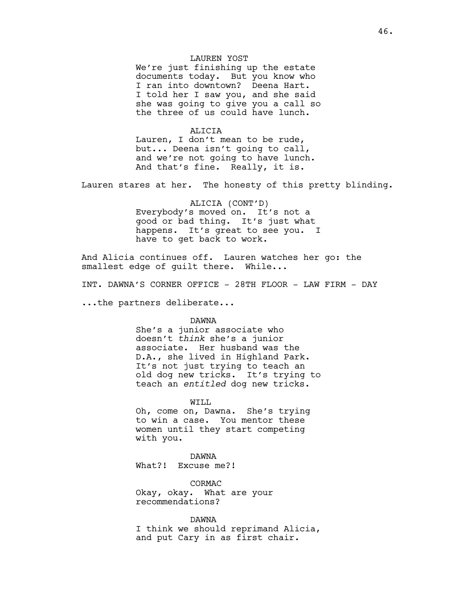#### LAUREN YOST

We're just finishing up the estate documents today. But you know who I ran into downtown? Deena Hart. I told her I saw you, and she said she was going to give you a call so the three of us could have lunch.

#### ALICIA

Lauren, I don't mean to be rude, but... Deena isn't going to call, and we're not going to have lunch. And that's fine. Really, it is.

Lauren stares at her. The honesty of this pretty blinding.

ALICIA (CONT'D) Everybody's moved on. It's not a good or bad thing. It's just what happens. It's great to see you. I have to get back to work.

And Alicia continues off. Lauren watches her go: the smallest edge of quilt there. While...

INT. DAWNA'S CORNER OFFICE - 28TH FLOOR - LAW FIRM - DAY

...the partners deliberate...

#### DAWNA

She's a junior associate who doesn't *think* she's a junior associate. Her husband was the D.A., she lived in Highland Park. It's not just trying to teach an old dog new tricks. It's trying to teach an *entitled* dog new tricks.

#### WILL

Oh, come on, Dawna. She's trying to win a case. You mentor these women until they start competing with you.

#### DAWNA

What?! Excuse me?!

CORMAC Okay, okay. What are your recommendations?

#### DAWNA

I think we should reprimand Alicia, and put Cary in as first chair.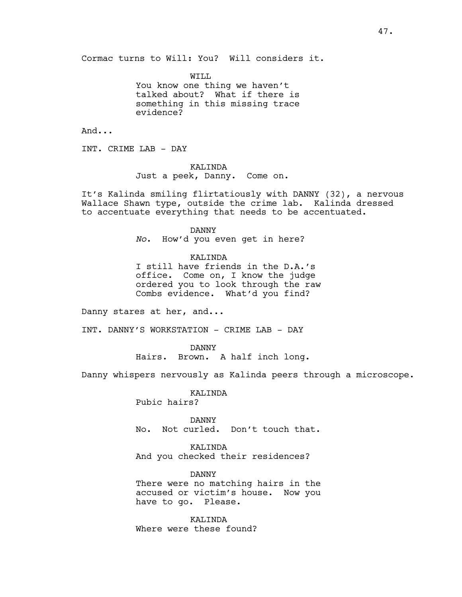Cormac turns to Will: You? Will considers it.

WTT.T. You know one thing we haven't talked about? What if there is something in this missing trace evidence?

And...

INT. CRIME LAB - DAY

#### KALINDA

Just a peek, Danny. Come on.

It's Kalinda smiling flirtatiously with DANNY (32), a nervous Wallace Shawn type, outside the crime lab. Kalinda dressed to accentuate everything that needs to be accentuated.

DANNY

*No*. How'd you even get in here?

KALINDA

I still have friends in the D.A.'s office. Come on, I know the judge ordered you to look through the raw Combs evidence. What'd you find?

Danny stares at her, and...

INT. DANNY'S WORKSTATION - CRIME LAB - DAY

DANNY Hairs. Brown. A half inch long.

Danny whispers nervously as Kalinda peers through a microscope.

KALINDA Pubic hairs?

DANNY No. Not curled. Don't touch that.

KALINDA And you checked their residences?

DANNY There were no matching hairs in the accused or victim's house. Now you have to go. Please.

KALINDA Where were these found?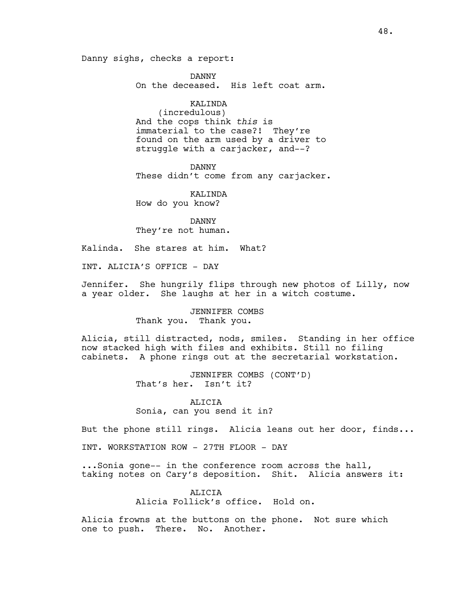Danny sighs, checks a report:

DANNY On the deceased. His left coat arm.

KALINDA (incredulous) And the cops think *this* is immaterial to the case?! They're found on the arm used by a driver to struggle with a carjacker, and--?

DANNY These didn't come from any carjacker.

KALINDA How do you know?

DANNY They're not human.

Kalinda. She stares at him. What?

INT. ALICIA'S OFFICE - DAY

Jennifer. She hungrily flips through new photos of Lilly, now a year older. She laughs at her in a witch costume.

> JENNIFER COMBS Thank you. Thank you.

Alicia, still distracted, nods, smiles. Standing in her office now stacked high with files and exhibits. Still no filing cabinets. A phone rings out at the secretarial workstation.

> JENNIFER COMBS (CONT'D) That's her. Isn't it?

ALICIA Sonia, can you send it in?

But the phone still rings. Alicia leans out her door, finds...

INT. WORKSTATION ROW - 27TH FLOOR - DAY

...Sonia gone-- in the conference room across the hall, taking notes on Cary's deposition. Shit. Alicia answers it:

> **ALICIA** Alicia Follick's office. Hold on.

Alicia frowns at the buttons on the phone. Not sure which one to push. There. No. Another.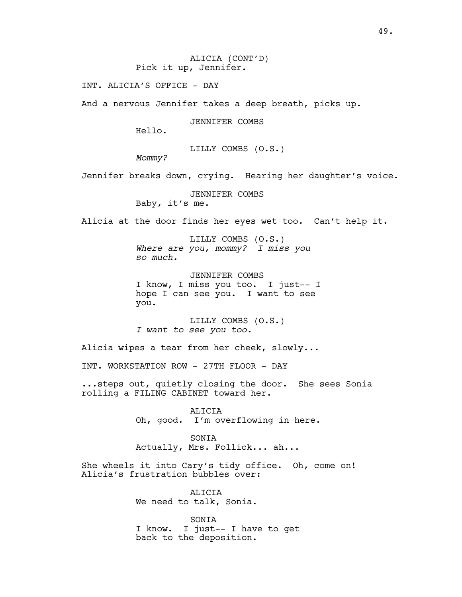ALICIA (CONT'D) Pick it up, Jennifer.

INT. ALICIA'S OFFICE - DAY

And a nervous Jennifer takes a deep breath, picks up.

JENNIFER COMBS

Hello.

LILLY COMBS (O.S.)

*Mommy?*

Jennifer breaks down, crying. Hearing her daughter's voice.

JENNIFER COMBS

Baby, it's me.

Alicia at the door finds her eyes wet too. Can't help it.

LILLY COMBS (O.S.) *Where are you, mommy? I miss you so much.*

JENNIFER COMBS I know, I miss you too. I just-- I hope I can see you. I want to see you.

LILLY COMBS (O.S.) *I want to see you too.*

Alicia wipes a tear from her cheek, slowly...

INT. WORKSTATION ROW - 27TH FLOOR - DAY

...steps out, quietly closing the door. She sees Sonia rolling a FILING CABINET toward her.

> ALICIA Oh, good. I'm overflowing in here.

SONIA Actually, Mrs. Follick... ah...

She wheels it into Cary's tidy office. Oh, come on! Alicia's frustration bubbles over:

> ALICIA We need to talk, Sonia.

SONIA I know. I just-- I have to get back to the deposition.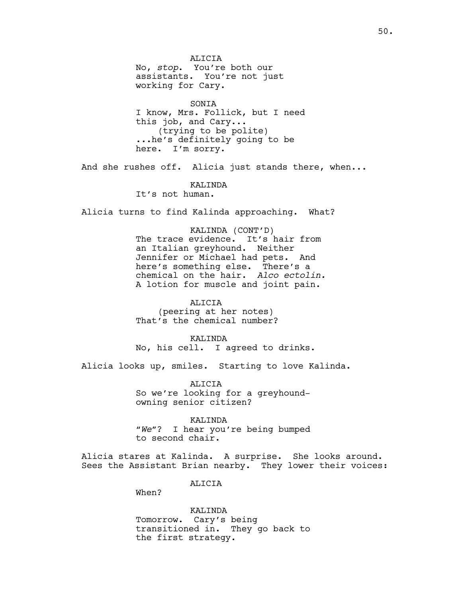ALICIA No, *stop*. You're both our assistants. You're not just working for Cary.

SONIA I know, Mrs. Follick, but I need this job, and Cary... (trying to be polite) ...he's definitely going to be here. I'm sorry.

And she rushes off. Alicia just stands there, when...

KALINDA

It's not human.

Alicia turns to find Kalinda approaching. What?

KALINDA (CONT'D)

The trace evidence. It's hair from an Italian greyhound. Neither Jennifer or Michael had pets. And here's something else. There's a chemical on the hair. *Alco ectolin.*  A lotion for muscle and joint pain.

ALICIA (peering at her notes) That's the chemical number?

KALINDA No, his cell. I agreed to drinks.

Alicia looks up, smiles. Starting to love Kalinda.

ALICIA So we're looking for a greyhoundowning senior citizen?

KALINDA "*We*"? I hear you're being bumped to second chair.

Alicia stares at Kalinda. A surprise. She looks around. Sees the Assistant Brian nearby. They lower their voices:

ALICIA

When?

KALINDA Tomorrow. Cary's being transitioned in. They go back to the first strategy.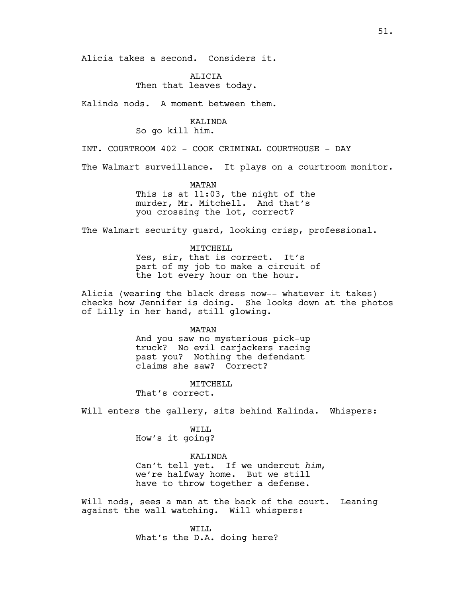Alicia takes a second. Considers it.

**ALICIA** Then that leaves today.

Kalinda nods. A moment between them.

### KALINDA

So go kill him.

INT. COURTROOM 402 - COOK CRIMINAL COURTHOUSE - DAY

The Walmart surveillance. It plays on a courtroom monitor.

MATAN

This is at 11:03, the night of the murder, Mr. Mitchell. And that's you crossing the lot, correct?

The Walmart security guard, looking crisp, professional.

MITCHELL Yes, sir, that is correct. It's part of my job to make a circuit of the lot every hour on the hour.

Alicia (wearing the black dress now-- whatever it takes) checks how Jennifer is doing. She looks down at the photos of Lilly in her hand, still glowing.

> MATAN And you saw no mysterious pick-up

> truck? No evil carjackers racing past you? Nothing the defendant claims she saw? Correct?

> > MITCHELL

That's correct.

Will enters the gallery, sits behind Kalinda. Whispers:

WILL How's it going?

KALINDA

Can't tell yet. If we undercut *him*, we're halfway home. But we still have to throw together a defense.

Will nods, sees a man at the back of the court. Leaning against the wall watching. Will whispers:

> WTT.T. What's the D.A. doing here?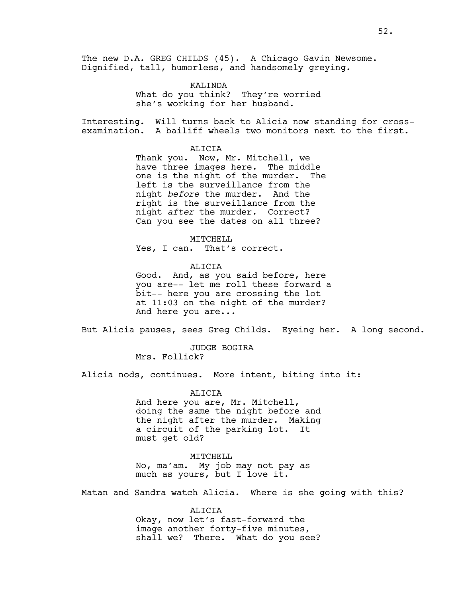The new D.A. GREG CHILDS (45). A Chicago Gavin Newsome. Dignified, tall, humorless, and handsomely greying.

> KALINDA What do you think? They're worried she's working for her husband.

Interesting. Will turns back to Alicia now standing for crossexamination. A bailiff wheels two monitors next to the first.

ALICIA

Thank you. Now, Mr. Mitchell, we have three images here. The middle one is the night of the murder. The left is the surveillance from the night *before* the murder. And the right is the surveillance from the night *after* the murder. Correct? Can you see the dates on all three?

MITCHELL

Yes, I can. That's correct.

ALICIA

Good. And, as you said before, here you are-- let me roll these forward a bit-- here you are crossing the lot at 11:03 on the night of the murder? And here you are...

But Alicia pauses, sees Greg Childs. Eyeing her. A long second.

JUDGE BOGIRA Mrs. Follick?

Alicia nods, continues. More intent, biting into it:

ALICIA And here you are, Mr. Mitchell, doing the same the night before and the night after the murder. Making a circuit of the parking lot. It must get old?

MITCHELL No, ma'am. My job may not pay as much as yours, but I love it.

Matan and Sandra watch Alicia. Where is she going with this?

ALICIA Okay, now let's fast-forward the image another forty-five minutes, shall we? There. What do you see?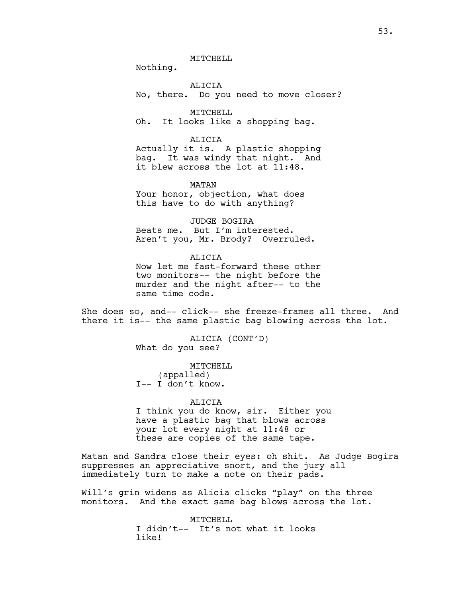MITCHELL

Nothing.

ALICIA No, there. Do you need to move closer?

MITCHELL Oh. It looks like a shopping bag.

ALICIA Actually it is. A plastic shopping bag. It was windy that night. And it blew across the lot at 11:48.

MATAN Your honor, objection, what does this have to do with anything?

JUDGE BOGIRA Beats me. But I'm interested. Aren't you, Mr. Brody? Overruled.

**ALICIA** Now let me fast-forward these other two monitors-- the night before the murder and the night after-- to the same time code.

She does so, and-- click-- she freeze-frames all three. And there it is-- the same plastic bag blowing across the lot.

> ALICIA (CONT'D) What do you see?

MITCHELL (appalled) I-- I don't know.

ALICIA I think you do know, sir. Either you have a plastic bag that blows across your lot every night at 11:48 or these are copies of the same tape.

Matan and Sandra close their eyes: oh shit. As Judge Bogira suppresses an appreciative snort, and the jury all immediately turn to make a note on their pads.

Will's grin widens as Alicia clicks "play" on the three monitors. And the exact same bag blows across the lot.

> MITCHELL I didn't-- It's not what it looks like!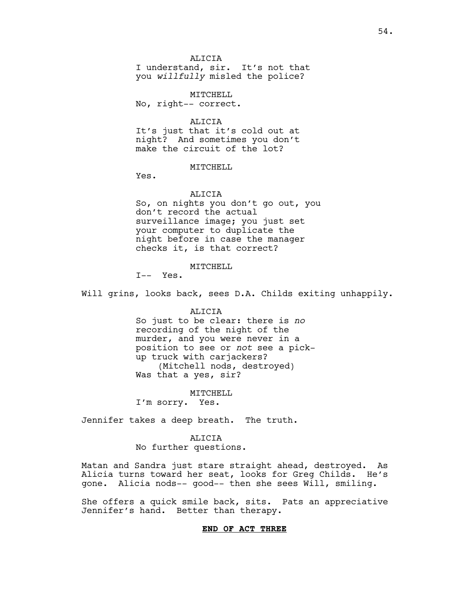#### **ALICIA**

I understand, sir. It's not that you *willfully* misled the police?

MITCHELL No, right-- correct.

ALICIA It's just that it's cold out at night? And sometimes you don't make the circuit of the lot?

#### MITCHELL

Yes.

#### ALICIA

So, on nights you don't go out, you don't record the actual surveillance image; you just set your computer to duplicate the night before in case the manager checks it, is that correct?

#### MITCHELL

I-- Yes.

Will grins, looks back, sees D.A. Childs exiting unhappily.

#### ALICIA

So just to be clear: there is *no* recording of the night of the murder, and you were never in a position to see or *not* see a pickup truck with carjackers? (Mitchell nods, destroyed) Was that a yes, sir?

#### MITCHELL

I'm sorry. Yes.

Jennifer takes a deep breath. The truth.

#### ALICIA

No further questions.

Matan and Sandra just stare straight ahead, destroyed. As Alicia turns toward her seat, looks for Greg Childs. He's gone. Alicia nods-- good-- then she sees Will, smiling.

She offers a quick smile back, sits. Pats an appreciative Jennifer's hand. Better than therapy.

#### **END OF ACT THREE**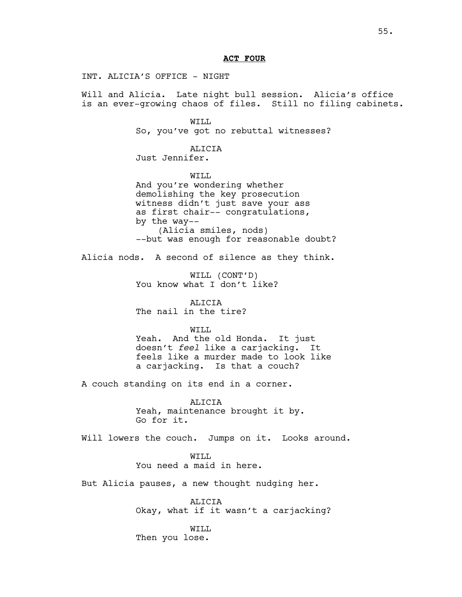#### **ACT FOUR**

INT. ALICIA'S OFFICE - NIGHT

Will and Alicia. Late night bull session. Alicia's office is an ever-growing chaos of files. Still no filing cabinets.

> WILL So, you've got no rebuttal witnesses?

ALICIA Just Jennifer.

WILL And you're wondering whether demolishing the key prosecution witness didn't just save your ass as first chair-- congratulations, by the way-- (Alicia smiles, nods) --but was enough for reasonable doubt?

Alicia nods. A second of silence as they think.

WILL (CONT'D) You know what I don't like?

ALICIA The nail in the tire?

#### WTT.T.

Yeah. And the old Honda. It just doesn't *feel* like a carjacking. It feels like a murder made to look like a carjacking. Is that a couch?

A couch standing on its end in a corner.

ALICIA Yeah, maintenance brought it by. Go for it.

Will lowers the couch. Jumps on it. Looks around.

WTT.T. You need a maid in here.

But Alicia pauses, a new thought nudging her.

ALICIA Okay, what if it wasn't a carjacking?

WILL Then you lose.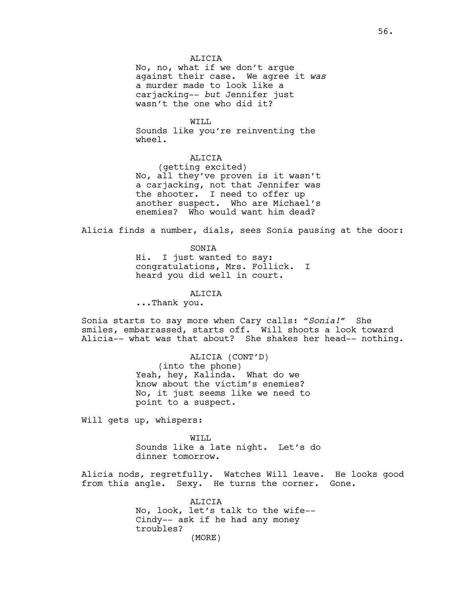#### ALICIA

No, no, what if we don't argue against their case. We agree it *was* a murder made to look like a carjacking-- *but* Jennifer just wasn't the one who did it?

WILL Sounds like you're reinventing the wheel.

#### ALICIA

(getting excited) No, all they've proven is it wasn't a carjacking, not that Jennifer was the shooter. I need to offer up another suspect. Who are Michael's enemies? Who would want him dead?

Alicia finds a number, dials, sees Sonia pausing at the door:

SONIA

Hi. I just wanted to say: congratulations, Mrs. Follick. I heard you did well in court.

ALICIA

...Thank you.

Sonia starts to say more when Cary calls: *"Sonia!"* She smiles, embarrassed, starts off. Will shoots a look toward Alicia-- what was that about? She shakes her head-- nothing.

> ALICIA (CONT'D) (into the phone) Yeah, hey, Kalinda. What do we know about the victim's enemies? No, it just seems like we need to point to a suspect.

Will gets up, whispers:

WILL Sounds like a late night. Let's do dinner tomorrow.

Alicia nods, regretfully. Watches Will leave. He looks good from this angle. Sexy. He turns the corner. Gone.

> ALICIA No, look, let's talk to the wife-- Cindy-- ask if he had any money troubles? (MORE)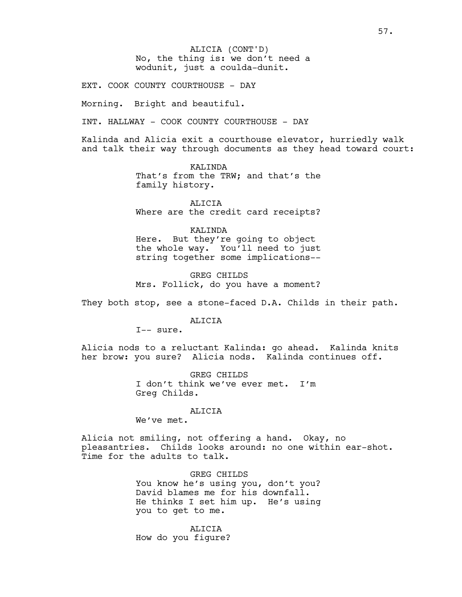No, the thing is: we don't need a wodunit, just a coulda-dunit. ALICIA (CONT'D)

EXT. COOK COUNTY COURTHOUSE - DAY

Morning. Bright and beautiful.

INT. HALLWAY - COOK COUNTY COURTHOUSE - DAY

Kalinda and Alicia exit a courthouse elevator, hurriedly walk and talk their way through documents as they head toward court:

> KALINDA That's from the TRW; and that's the family history.

> ALICIA Where are the credit card receipts?

### KALINDA

Here. But they're going to object the whole way. You'll need to just string together some implications--

GREG CHILDS Mrs. Follick, do you have a moment?

They both stop, see a stone-faced D.A. Childs in their path.

ALICIA

I-- sure.

Alicia nods to a reluctant Kalinda: go ahead. Kalinda knits her brow: you sure? Alicia nods. Kalinda continues off.

> GREG CHILDS I don't think we've ever met. I'm Greg Childs.

#### ALICIA

We've met.

Alicia not smiling, not offering a hand. Okay, no pleasantries. Childs looks around: no one within ear-shot. Time for the adults to talk.

> GREG CHILDS You know he's using you, don't you? David blames me for his downfall. He thinks I set him up. He's using you to get to me.

ALICIA How do you figure?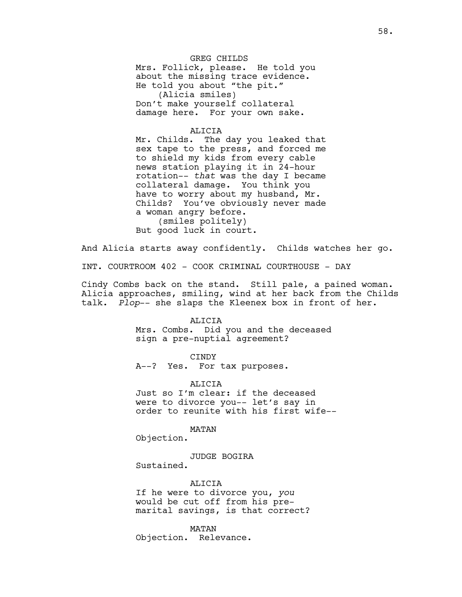GREG CHILDS Mrs. Follick, please. He told you about the missing trace evidence. He told you about "the pit." (Alicia smiles) Don't make yourself collateral damage here. For your own sake.

#### ALICIA

Mr. Childs. The day you leaked that sex tape to the press, and forced me to shield my kids from every cable news station playing it in 24-hour rotation-- *that* was the day I became collateral damage. You think you have to worry about my husband, Mr. Childs? You've obviously never made a woman angry before. (smiles politely) But good luck in court.

And Alicia starts away confidently. Childs watches her go.

INT. COURTROOM 402 - COOK CRIMINAL COURTHOUSE - DAY

Cindy Combs back on the stand. Still pale, a pained woman. Alicia approaches, smiling, wind at her back from the Childs talk. *Plop*-- she slaps the Kleenex box in front of her.

#### **ALICIA**

Mrs. Combs. Did you and the deceased sign a pre-nuptial agreement?

#### CINDY

A--? Yes. For tax purposes.

#### ALICTA

Just so I'm clear: if the deceased were to divorce you-- let's say in order to reunite with his first wife--

#### MATAN

Objection.

JUDGE BOGIRA Sustained.

#### ALICIA

If he were to divorce you, *you* would be cut off from his premarital savings, is that correct?

MATAN Objection. Relevance.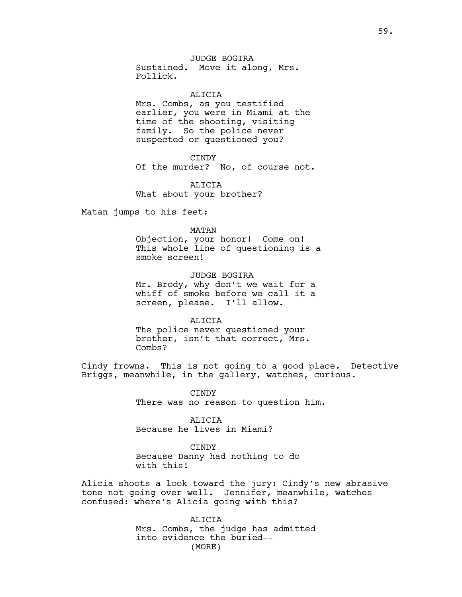## JUDGE BOGIRA

Sustained. Move it along, Mrs. Follick.

#### ALICIA

Mrs. Combs, as you testified earlier, you were in Miami at the time of the shooting, visiting family. So the police never suspected or questioned you?

#### CINDY

Of the murder? No, of course not.

ALICIA What about your brother?

Matan jumps to his feet:

#### MATAN

Objection, your honor! Come on! This whole line of questioning is a smoke screen!

JUDGE BOGIRA Mr. Brody, why don't we wait for a whiff of smoke before we call it a screen, please. I'll allow.

#### ALICIA

The police never questioned your brother, isn't that correct, Mrs. Combs?

Cindy frowns. This is not going to a good place. Detective Briggs, meanwhile, in the gallery, watches, curious.

> CINDY There was no reason to question him.

ALICIA Because he lives in Miami?

#### CINDY

Because Danny had nothing to do with this!

Alicia shoots a look toward the jury: Cindy's new abrasive tone not going over well. Jennifer, meanwhile, watches confused: where's Alicia going with this?

> ALICIA Mrs. Combs, the judge has admitted into evidence the buried-- (MORE)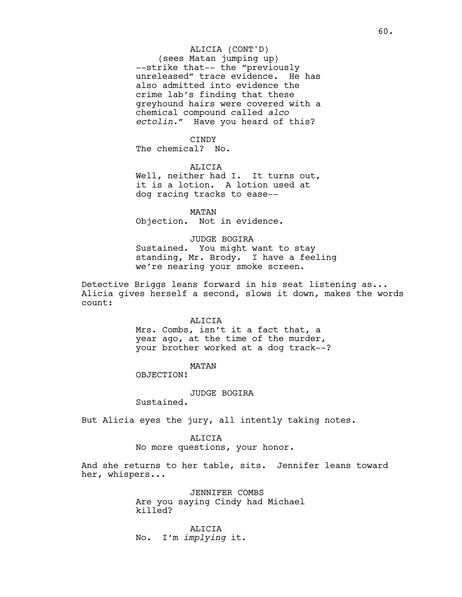#### ALICIA (CONT'D)

(sees Matan jumping up) --strike that-- the "previously unreleased" trace evidence. He has also admitted into evidence the crime lab's finding that these greyhound hairs were covered with a chemical compound called *alco ectolin."* Have you heard of this?

#### CINDY

The chemical? No.

#### ALICIA

Well, neither had I. It turns out, it is a lotion. A lotion used at dog racing tracks to ease--

MATAN Objection. Not in evidence.

#### JUDGE BOGIRA

Sustained. You might want to stay standing, Mr. Brody. I have a feeling we're nearing your smoke screen.

Detective Briggs leans forward in his seat listening as... Alicia gives herself a second, slows it down, makes the words count:

#### **ALICIA**

Mrs. Combs, isn't it a fact that, a year ago, at the time of the murder, your brother worked at a dog track--?

#### MATAN

OBJECTION!

#### JUDGE BOGIRA

Sustained.

But Alicia eyes the jury, all intently taking notes.

#### ALICIA

No more questions, your honor.

And she returns to her table, sits. Jennifer leans toward her, whispers...

> JENNIFER COMBS Are you saying Cindy had Michael killed?

ALICIA No. I'm *implying* it.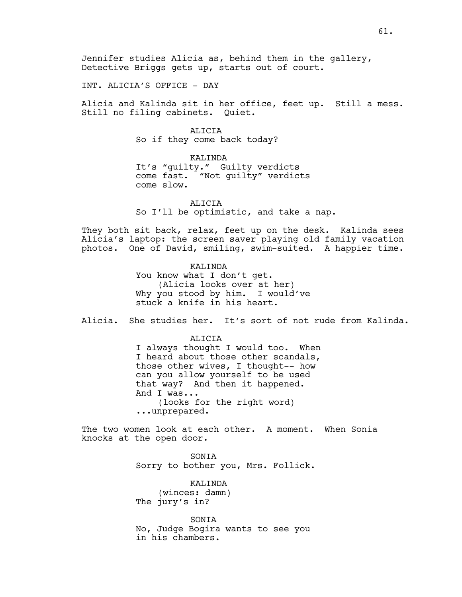Jennifer studies Alicia as, behind them in the gallery, Detective Briggs gets up, starts out of court.

INT. ALICIA'S OFFICE - DAY

Alicia and Kalinda sit in her office, feet up. Still a mess. Still no filing cabinets. Quiet.

> ALICIA So if they come back today?

KALINDA It's "guilty." Guilty verdicts come fast. "Not guilty" verdicts come slow.

ALICIA So I'll be optimistic, and take a nap.

They both sit back, relax, feet up on the desk. Kalinda sees Alicia's laptop: the screen saver playing old family vacation photos. One of David, smiling, swim-suited. A happier time.

> KALINDA You know what I don't get. (Alicia looks over at her) Why you stood by him. I would've stuck a knife in his heart.

Alicia. She studies her. It's sort of not rude from Kalinda.

ALICIA

I always thought I would too. When I heard about those other scandals, those other wives, I thought-- how can you allow yourself to be used that way? And then it happened. And I was... (looks for the right word) ...unprepared.

The two women look at each other. A moment. When Sonia knocks at the open door.

> SONIA Sorry to bother you, Mrs. Follick.

KALINDA (winces: damn) The jury's in?

SONIA No, Judge Bogira wants to see you in his chambers.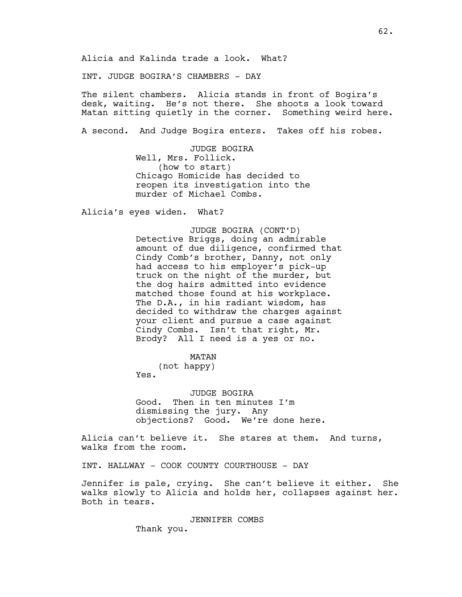Alicia and Kalinda trade a look. What?

INT. JUDGE BOGIRA'S CHAMBERS - DAY

The silent chambers. Alicia stands in front of Bogira's desk, waiting. He's not there. She shoots a look toward Matan sitting quietly in the corner. Something weird here.

A second. And Judge Bogira enters. Takes off his robes.

JUDGE BOGIRA Well, Mrs. Follick. (how to start) Chicago Homicide has decided to reopen its investigation into the murder of Michael Combs.

Alicia's eyes widen. What?

JUDGE BOGIRA (CONT'D) Detective Briggs, doing an admirable amount of due diligence, confirmed that Cindy Comb's brother, Danny, not only had access to his employer's pick-up truck on the night of the murder, but the dog hairs admitted into evidence matched those found at his workplace. The D.A., in his radiant wisdom, has decided to withdraw the charges against your client and pursue a case against Cindy Combs. Isn't that right, Mr. Brody? All I need is a yes or no.

MATAN

(not happy) Yes.

JUDGE BOGIRA Good. Then in ten minutes I'm dismissing the jury. Any objections? Good. We're done here.

Alicia can't believe it. She stares at them. And turns, walks from the room.

INT. HALLWAY - COOK COUNTY COURTHOUSE - DAY

Jennifer is pale, crying. She can't believe it either. She walks slowly to Alicia and holds her, collapses against her. Both in tears.

JENNIFER COMBS

Thank you.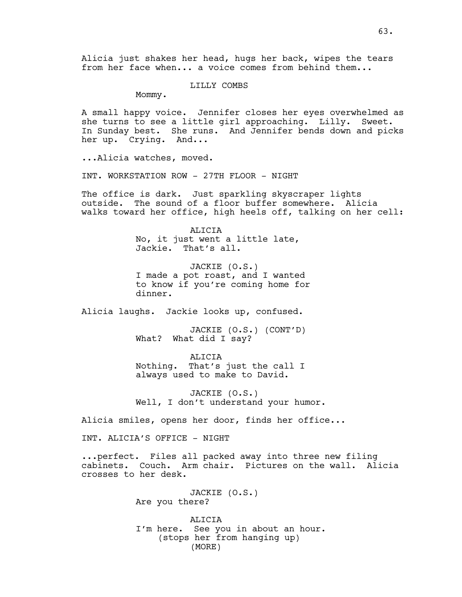Alicia just shakes her head, hugs her back, wipes the tears from her face when... a voice comes from behind them...

LILLY COMBS

Mommy.

A small happy voice. Jennifer closes her eyes overwhelmed as she turns to see a little girl approaching. Lilly. Sweet. In Sunday best. She runs. And Jennifer bends down and picks her up. Crying. And...

...Alicia watches, moved.

INT. WORKSTATION ROW - 27TH FLOOR - NIGHT

The office is dark. Just sparkling skyscraper lights outside. The sound of a floor buffer somewhere. Alicia walks toward her office, high heels off, talking on her cell:

> ALICIA No, it just went a little late, Jackie. That's all.

JACKIE (O.S.) I made a pot roast, and I wanted to know if you're coming home for dinner.

Alicia laughs. Jackie looks up, confused.

JACKIE (O.S.) (CONT'D) What? What did I say?

ALICIA Nothing. That's just the call I always used to make to David.

JACKIE (O.S.) Well, I don't understand your humor.

Alicia smiles, opens her door, finds her office...

INT. ALICIA'S OFFICE - NIGHT

...perfect. Files all packed away into three new filing cabinets. Couch. Arm chair. Pictures on the wall. Alicia crosses to her desk.

> JACKIE (O.S.) Are you there?

ALICIA I'm here. See you in about an hour. (stops her from hanging up) (MORE)